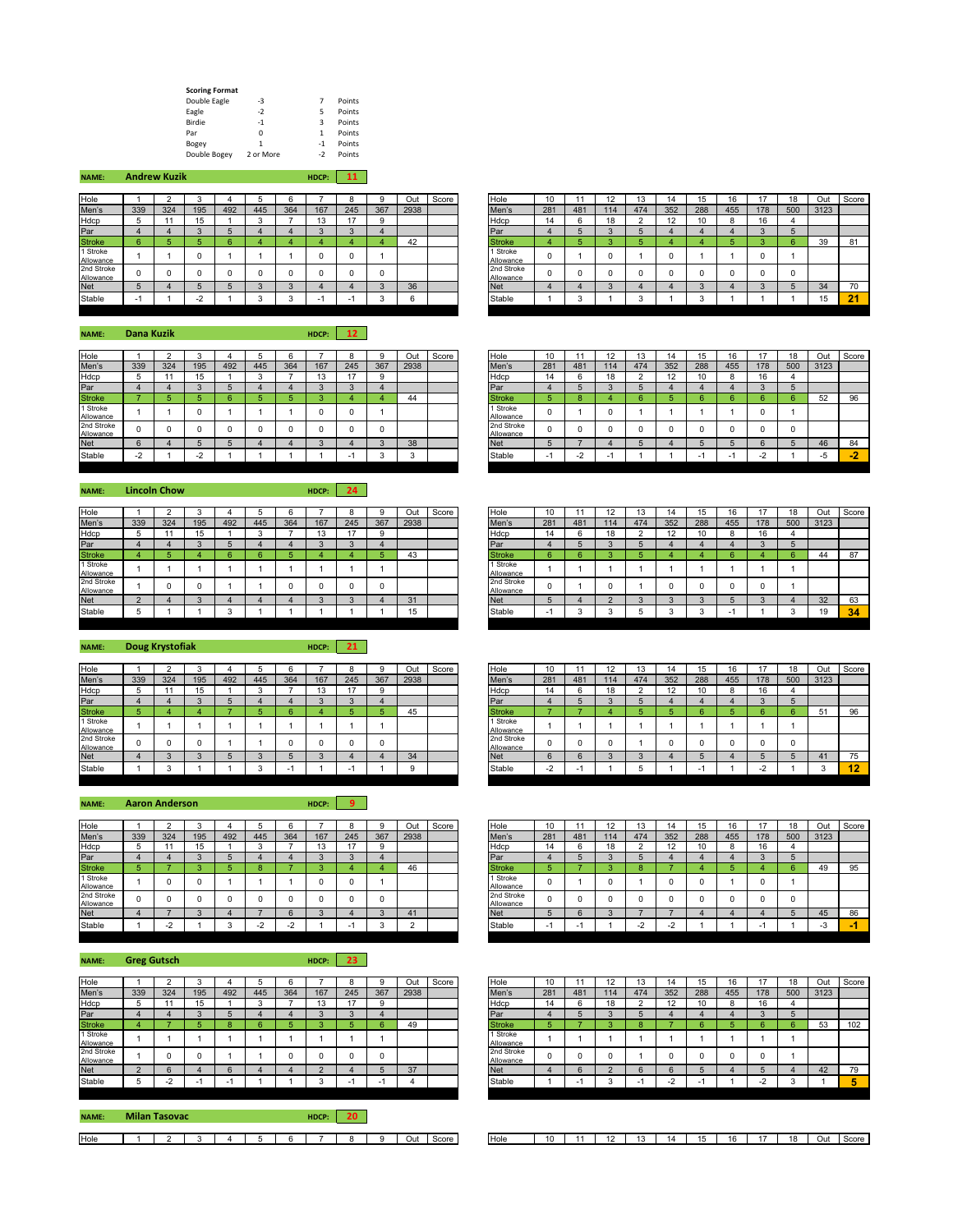| <b>Scoring Format</b> |           |      |        |
|-----------------------|-----------|------|--------|
| Double Eagle          | -3        | 7    | Points |
| Eagle                 | $-2$      | 5    | Points |
| Birdie                | $-1$      | 3    | Points |
| Par                   | O         | 1    | Points |
| Bogey                 | 1         | $-1$ | Points |
| Double Bogey          | 2 or More | $-2$ | Points |

| <b>NAME:</b>            |     | <b>Andrew Kuzik</b> |     |     |     |        | HDCP: | 11  |            |             |       |                         |     |              |     |     |     |     |     |     |     |      |      |
|-------------------------|-----|---------------------|-----|-----|-----|--------|-------|-----|------------|-------------|-------|-------------------------|-----|--------------|-----|-----|-----|-----|-----|-----|-----|------|------|
| Hole                    |     |                     |     |     |     |        |       |     |            | Out         | Score | Hole                    | 10  |              | 12  | 13  |     | 15  | 16  |     | 18  | Out  | Scor |
| Men's                   | 339 | 324                 | 195 | 492 | 445 | 364    | 167   | 245 | 367        | 2938        |       | Men's                   | 281 | 481          | 114 | 474 | 352 | 288 | 455 | 178 | 500 | 3123 |      |
| Hdcp                    |     |                     | 15  |     |     |        | ıэ    | 17  | $^{\circ}$ |             |       | Hdcp                    | 14  | b            | 18  |     | 12  | 10  |     | 16  |     |      |      |
| Par                     |     |                     |     |     |     |        |       |     |            |             |       | Par                     |     |              |     |     |     |     |     |     | г   |      |      |
| <b>Stroke</b>           |     |                     |     |     |     |        |       |     |            | 42          |       | <b>Stroke</b>           |     |              |     |     |     |     |     |     | 6.  | 39   | 81   |
| 1 Stroke<br>Allowance   |     |                     |     |     |     |        |       | υ   |            |             |       | 1 Stroke<br>Allowance   |     |              |     |     | 0   |     |     |     |     |      |      |
| 2nd Stroke<br>Allowance |     |                     |     |     |     |        |       |     |            |             |       | 2nd Stroke<br>Allowance |     | 0            |     |     |     |     |     |     | 0   |      |      |
| <b>Net</b>              |     |                     |     |     |     | Ω      |       |     | $\Omega$   | 36          |       | <b>Net</b>              |     |              |     |     |     |     |     |     | Б.  | 34   | 70   |
| Stable                  | - 1 |                     | - 4 |     |     | $\sim$ |       | н.  |            | $\sim$<br>n |       | Stable                  |     | $\sim$<br>ъ. |     |     |     |     |     |     |     | 15   | 21   |

**NAME: HDCP: 12 Dana Kuzik**

| Hole                    |                                        |     |                          |     |     |     |     |        |     | Out  | Score | Hole                    | 10  |              |     | 13  |     | 15  | 16                       |     | 10<br>10 | Out  | Sco |
|-------------------------|----------------------------------------|-----|--------------------------|-----|-----|-----|-----|--------|-----|------|-------|-------------------------|-----|--------------|-----|-----|-----|-----|--------------------------|-----|----------|------|-----|
| Men's                   | 339                                    | 324 | 195                      | 492 | 445 | 364 | 167 | 245    | 367 | 2938 |       | Men's                   | 281 | 481          | 114 | 474 | 352 | 288 | 455                      | 178 | 500      | 3123 |     |
| Hdcp                    |                                        |     | 15<br>IJ                 |     |     |     | 13  | 47     |     |      |       | Hdcp                    | 14  |              | 18  |     | 12  | 10  |                          |     |          |      |     |
| Par                     |                                        |     |                          |     |     |     |     | $\sim$ |     |      |       | Par                     |     |              |     |     |     |     |                          |     |          |      |     |
| <b>Stroke</b>           |                                        |     |                          |     |     |     |     |        |     | 44   |       | <b>Stroke</b>           |     |              |     |     |     |     |                          |     |          | 52   | 96  |
| 1 Stroke<br>Allowance   |                                        |     |                          |     |     |     |     |        |     |      |       | 1 Stroke<br>Allowance   |     |              |     |     |     |     |                          |     |          |      |     |
| 2nd Stroke<br>Allowance |                                        |     |                          |     |     |     |     |        |     |      |       | 2nd Stroke<br>Allowance |     |              |     |     |     |     |                          |     |          |      |     |
| <b>Net</b>              |                                        |     |                          |     |     |     |     |        |     | 38   |       | <b>Net</b>              |     |              |     |     |     |     |                          |     |          | 46   | 84  |
| Stable                  | $\sqrt{2}$<br>$\overline{\phantom{0}}$ |     | $\overline{\phantom{a}}$ |     |     |     |     |        |     |      |       | Stable                  |     | $\sim$<br>۰. |     |     |     |     | $\overline{\phantom{a}}$ | -   |          |      | . . |

**NAME: HDCP: 24 Lincoln Chow**

| Hole                    |     |     |           |     |     |     |     |     | ۰   | Out  | Score | Hole                    | 10  |     | $\blacktriangleleft$ |     |     | 15  | 16  |     | 18  | Out  |
|-------------------------|-----|-----|-----------|-----|-----|-----|-----|-----|-----|------|-------|-------------------------|-----|-----|----------------------|-----|-----|-----|-----|-----|-----|------|
| Men's                   | 339 | 324 | 195       | 492 | 445 | 364 | 167 | 245 | 367 | 2938 |       | Men's                   | 281 | 481 | 114                  | 474 | 352 | 288 | 455 | 178 | 500 | 3123 |
| Hdcp                    |     |     | ıε<br>. . |     |     |     | 13  |     | 9   |      |       | Hdcp                    | 14  |     | 18                   |     |     | 10  |     | 16  |     |      |
| Par                     |     |     |           |     |     |     |     |     |     |      |       | Par                     |     |     |                      |     |     |     |     |     |     |      |
| <b>Stroke</b>           |     |     |           |     |     |     |     |     |     | 43   |       | <b>Stroke</b>           |     |     |                      |     |     |     |     |     |     | 44   |
| 1 Stroke<br>Allowance   |     |     |           |     |     |     |     |     |     |      |       | Stroke<br>Allowance     |     |     |                      |     |     |     |     |     |     |      |
| 2nd Stroke<br>Allowance |     |     |           |     |     |     |     |     | 0   |      |       | 2nd Stroke<br>Allowance |     |     |                      |     |     |     |     |     |     |      |
| <b>Net</b>              |     |     |           |     |     |     |     |     |     | 31   |       | <b>Net</b>              |     |     |                      |     |     |     |     |     |     | 32   |
| Stable                  |     |     |           |     |     |     |     |     |     | 15   |       | Stable                  |     |     |                      |     |     |     |     |     |     | 19   |

**NAME: HDCP: 21 Doug Krystofiak**

| Hole                    |     |     |     |     |     |     |     |     |     | Out  | Score | Hole                    | 10  |     | 12  |     |     |     | 16  |     |     | Out  | Sco |
|-------------------------|-----|-----|-----|-----|-----|-----|-----|-----|-----|------|-------|-------------------------|-----|-----|-----|-----|-----|-----|-----|-----|-----|------|-----|
| Men's                   | 339 | 324 | 195 | 492 | 445 | 364 | 167 | 245 | 367 | 2938 |       | Men's                   | 281 | 481 | 114 | 474 | 352 | 288 | 455 | 178 | 500 | 3123 |     |
| Hdcp                    |     |     |     |     |     |     |     |     |     |      |       | Hdcp                    | 14  |     | 18  |     |     |     |     | 16  |     |      |     |
| Par                     |     |     |     |     |     |     |     |     |     |      |       | Par                     |     |     |     |     |     |     |     |     |     |      |     |
| <b>Stroke</b>           |     |     |     |     |     |     |     |     |     | 45   |       | <b>Stroke</b>           |     |     |     |     |     |     |     |     |     |      | 96  |
| 1 Stroke<br>Allowance   |     |     |     |     |     |     |     |     |     |      |       | 1 Stroke<br>Allowance   |     |     |     |     |     |     |     |     |     |      |     |
| 2nd Stroke<br>Allowance |     |     |     |     |     |     |     |     |     |      |       | 2nd Stroke<br>Allowance |     |     |     |     |     |     |     |     |     |      |     |
| <b>Net</b>              |     |     |     |     |     |     |     |     |     | 34   |       | <b>Net</b>              |     |     |     |     |     |     |     |     |     |      | 75  |
| Stable                  |     |     |     |     |     |     |     |     |     |      |       | Stable                  | ٠.  |     |     |     |     |     |     | -   |     |      | - 1 |

## **NAME: HDCP: 9 Aaron Anderson**

| Hole                    |     |                          |     |     |     |                          |     |     |     | Out          | Score | Hole                    | 10  |     | ız  | 12<br>IJ |           |     |     |     | 18  | Out        | Sco |
|-------------------------|-----|--------------------------|-----|-----|-----|--------------------------|-----|-----|-----|--------------|-------|-------------------------|-----|-----|-----|----------|-----------|-----|-----|-----|-----|------------|-----|
| Men's                   | 339 | 324                      | 195 | 492 | 445 | 364                      | 167 | 245 | 367 | 2938         |       | Men's                   | 281 | 481 | 114 | 474      | 352       | 288 | 455 | 178 | 500 | 3123       |     |
| Hdcp                    |     |                          | 15  |     |     |                          |     | 47  |     |              |       | Hdcp                    |     |     | 18  |          | 10<br>. L |     |     | 16  |     |            |     |
| Par                     |     |                          |     |     |     |                          |     |     |     |              |       | Par                     |     |     |     |          |           |     |     |     |     |            |     |
| <b>Stroke</b>           |     |                          |     |     |     |                          |     |     |     | $\sim$<br>46 |       | <b>Stroke</b>           |     |     |     |          |           |     |     |     |     | 49         | 95  |
| 1 Stroke<br>Allowance   |     |                          |     |     |     |                          |     | U   |     |              |       | 1 Stroke<br>Allowance   |     |     |     |          |           |     |     |     |     |            |     |
| 2nd Stroke<br>Allowance |     |                          |     |     |     |                          |     |     |     |              |       | 2nd Stroke<br>Allowance |     |     |     |          |           |     |     |     |     |            |     |
| <b>Net</b>              |     |                          |     |     |     |                          |     |     |     | 41           |       | <b>Net</b>              |     |     |     |          |           |     |     |     |     | 45         | 86  |
| Stable                  |     | $\overline{\phantom{a}}$ |     |     |     | $\overline{\phantom{0}}$ |     |     |     |              |       | Stable                  |     |     |     | $\sim$   |           |     |     |     |     | $\sqrt{2}$ |     |

| <b>NAME:</b>            |     | <b>Greg Gutsch</b> |                          |                          |     |     | HDCP:  | 23                       |          |      |       |                         |     |     |    |     |      |     |     |            |     |      |      |
|-------------------------|-----|--------------------|--------------------------|--------------------------|-----|-----|--------|--------------------------|----------|------|-------|-------------------------|-----|-----|----|-----|------|-----|-----|------------|-----|------|------|
| Hole                    |     |                    |                          |                          |     |     |        | 8                        |          | Out  | Score | Hole                    | 10  |     | 12 | 3   | 14   | lb  |     |            | 18  | Out  | Scor |
| Men's                   | 339 | 324                | 195                      | 492                      | 445 | 364 | 167    | 245                      | 367      | 2938 |       | Men's                   | 281 | 481 | 14 | 474 | 352  | 288 | 455 | 178        | 500 | 3123 |      |
| Hdcp                    |     |                    | 15                       |                          |     |     | 13     | 17                       | n        |      |       | Hdcp                    | 14  |     | 18 |     | 12   | 10  | 8   | 16         |     |      |      |
| Par                     |     |                    |                          | 5                        |     |     |        | 3                        |          |      |       | Par                     |     |     |    |     |      |     |     |            |     |      |      |
| <b>Stroke</b>           |     |                    |                          | . .                      |     |     |        |                          | <b>R</b> | 49   |       | <b>Stroke</b>           |     |     |    |     |      |     |     | Բ          |     | 53   | 102  |
| 1 Stroke<br>Allowance   |     |                    |                          |                          |     |     |        |                          |          |      |       | 1 Stroke<br>Allowance   |     |     |    |     |      |     |     |            |     |      |      |
| 2nd Stroke<br>Allowance |     |                    |                          |                          |     |     |        | O                        |          |      |       | 2nd Stroke<br>Allowance |     |     |    |     |      |     | 0   |            |     |      |      |
| <b>Net</b>              |     |                    |                          | b                        |     |     |        |                          |          | 37   |       | <b>Net</b>              |     |     |    |     |      |     |     |            |     | 42   | 79   |
| Stable                  |     | $-4$               | $\overline{\phantom{a}}$ | $\overline{\phantom{0}}$ |     |     | $\sim$ | $\overline{\phantom{a}}$ |          |      |       | Stable                  |     |     |    |     | $-4$ | -   |     | $\sqrt{2}$ |     |      | 5    |
|                         |     |                    |                          |                          |     |     |        |                          |          |      |       |                         |     |     |    |     |      |     |     |            |     |      |      |

| <b>NAME:</b> | <b>Milan Tasovac</b> |        |                |  | HDCP: |  |     |  |
|--------------|----------------------|--------|----------------|--|-------|--|-----|--|
|              |                      | $\sim$ | $\overline{ }$ |  |       |  | Out |  |

| Hole                    |                          |     |        |     |     |     |        |     | 9        | Out  | Score | Hole                    | 10  |     | 12  |     | 14  |     |     |                     | 40  | Out  | Score |
|-------------------------|--------------------------|-----|--------|-----|-----|-----|--------|-----|----------|------|-------|-------------------------|-----|-----|-----|-----|-----|-----|-----|---------------------|-----|------|-------|
| Men's                   | 339                      | 324 | 195    | 492 | 445 | 364 | 167    | 245 | 367      | 2938 |       | Men's                   | 281 | 481 | 114 | 474 | 352 | 288 | 455 | 178                 | 500 | 3123 |       |
| Hdcp                    |                          |     | 15     |     |     |     |        |     | 9        |      |       | Hdcp                    | 14  |     | 18  |     | 12  |     |     | $\overline{A}$<br>O |     |      |       |
| Par                     |                          |     | $\sim$ |     |     |     | $\sim$ |     |          |      |       | Par                     |     |     |     |     |     |     |     | $\sim$              |     |      |       |
| <b>Stroke</b>           |                          |     |        |     |     |     |        |     |          | 42   |       | <b>Stroke</b>           |     |     |     |     |     |     |     |                     | 6   | 39   | 81    |
| 1 Stroke<br>Allowance   |                          |     |        |     |     |     |        |     |          |      |       | 1 Stroke<br>Allowance   |     |     |     |     |     |     |     |                     |     |      |       |
| 2nd Stroke<br>Allowance |                          |     |        |     |     |     |        |     | $\Omega$ |      |       | 2nd Stroke<br>Allowance |     |     |     |     |     |     |     |                     |     |      |       |
| <b>Net</b>              |                          |     |        |     |     |     |        |     | $\sim$   | 36   |       | <b>Net</b>              |     |     |     |     |     |     |     |                     |     | 34   | 70    |
| Stable                  | $\overline{\phantom{a}}$ |     | $\sim$ |     |     |     | -      |     |          |      |       | Stable                  |     |     |     |     |     |     |     |                     |     | 15   | . .   |
|                         |                          |     |        |     |     |     |        |     |          |      |       |                         |     |     |     |     |     |     |     |                     |     |      |       |

| Hole                    |        |     |        |     |     |     |     |     |     | Out  | Score | Hole                    | 10  |     | 12  | 13  |     |     |     |        | 18  | Out  | Score                |
|-------------------------|--------|-----|--------|-----|-----|-----|-----|-----|-----|------|-------|-------------------------|-----|-----|-----|-----|-----|-----|-----|--------|-----|------|----------------------|
| Men's                   | 339    | 324 | 195    | 492 | 445 | 364 | 167 | 245 | 367 | 2938 |       | Men's                   | 281 | 481 | 114 | 474 | 352 | 288 | 455 | 178    | 500 | 3123 |                      |
| Hdcp                    |        |     |        |     |     |     |     |     |     |      |       | Hdcp                    | 14  |     | 18  |     | 12  |     |     | 16     |     |      |                      |
| Par                     |        |     | $\sim$ |     |     |     |     |     |     |      |       | Par                     |     |     |     |     |     |     |     | $\sim$ |     |      |                      |
| <b>Stroke</b>           |        |     |        |     |     |     |     |     |     | 44   |       | Stroke                  |     |     |     |     |     |     |     |        |     | 52   | 96                   |
| 1 Stroke<br>Allowance   |        |     |        |     |     |     |     |     |     |      |       | 1 Stroke<br>Allowance   |     |     |     |     |     |     |     |        |     |      |                      |
| 2nd Stroke<br>Allowance |        |     |        |     |     |     |     |     |     |      |       | 2nd Stroke<br>Allowance |     |     |     |     |     |     |     |        | n   |      |                      |
| <b>Net</b>              |        |     |        |     |     |     |     |     |     | 38   |       | <b>Net</b>              |     |     |     |     |     |     |     |        |     | 46   | 84                   |
| Stable                  | $\sim$ |     |        |     |     |     |     |     |     |      |       | Stable                  |     |     |     |     |     |     |     | $\sim$ |     | -5   | $\cdot$<br><b>TA</b> |
|                         |        |     |        |     |     |     |     |     |     |      |       |                         |     |     |     |     |     |     |     |        |     |      |                      |

| Hole                    |                      |     |     |     |     |     |     |     |          | Out  | Score | Hole                    | 10       |     | 12  | 13  | 14  |     |                          |          | 18  | Out  | Score |
|-------------------------|----------------------|-----|-----|-----|-----|-----|-----|-----|----------|------|-------|-------------------------|----------|-----|-----|-----|-----|-----|--------------------------|----------|-----|------|-------|
| Men's                   | 339                  | 324 | 195 | 492 | 445 | 364 | 167 | 245 | 367      | 2938 |       | Men's                   | 281      | 481 | 114 | 474 | 352 | 288 | 455                      | 178      | 500 | 3123 |       |
| Hdcp                    | $\ddot{\phantom{1}}$ |     |     |     |     |     | . . |     |          |      |       | Hdcp                    | 14       |     | 18  |     | 12  |     |                          | 16       |     |      |       |
| Par                     |                      |     |     |     |     |     |     |     |          |      |       | Par                     |          |     |     |     |     |     |                          | $\sim$   |     |      |       |
| <b>Stroke</b>           |                      |     |     |     |     |     |     |     |          | 43   |       | <b>Stroke</b>           | R        |     |     |     |     |     |                          |          |     | 44   | 87    |
| 1 Stroke<br>Allowance   |                      |     |     |     |     |     |     |     |          |      |       | 1 Stroke<br>Allowance   |          |     |     |     |     |     |                          |          |     |      |       |
| 2nd Stroke<br>Allowance |                      | O   |     |     |     |     |     |     | $\Omega$ |      |       | 2nd Stroke<br>Allowance | $\Omega$ |     |     |     |     |     |                          | $\Omega$ |     |      |       |
| Net                     |                      |     |     |     |     |     |     |     |          | 31   |       | <b>Net</b>              |          |     |     |     |     |     |                          |          |     | 32   | 63    |
| Stable                  |                      |     |     |     |     |     |     |     |          | שו   |       | Stable                  | - 1      |     |     |     |     |     | $\overline{\phantom{a}}$ |          |     | 19   | 34    |
|                         |                      |     |     |     |     |     |     |     |          |      |       |                         |          |     |     |     |     |     |                          |          |     |      |       |

| Hole                    |     |          |     |     |     |     |     |        |          | Out      | Score | Hole                    | 10             |     | 12     |        | 14  | 15  | 16  |                          | 18  | Out  | Score |
|-------------------------|-----|----------|-----|-----|-----|-----|-----|--------|----------|----------|-------|-------------------------|----------------|-----|--------|--------|-----|-----|-----|--------------------------|-----|------|-------|
| Men's                   | 339 | 324      | 195 | 492 | 445 | 364 | 167 | 245    | 367      | 2938     |       | Men's                   | 281            | 481 | 114    | 474    | 352 | 288 | 455 | 178                      | 500 | 3123 |       |
| Hdcp                    | Ð   |          | w   |     |     |     | ٠.  |        | 9        |          |       | Hdcp                    | 14             |     | 18     | $\sim$ | 12  | 10  |     | 16                       |     |      |       |
| Par                     |     |          |     |     |     |     |     | $\sim$ |          |          |       | Par                     |                |     | $\sim$ |        |     |     |     |                          |     |      |       |
| <b>Stroke</b>           |     |          |     |     |     |     |     |        |          | 45       |       | <b>Stroke</b>           |                |     |        |        |     |     |     |                          |     | 51   | 96    |
| 1 Stroke<br>Allowance   |     |          |     |     |     |     |     |        |          |          |       | 1 Stroke<br>Allowance   |                |     |        |        |     |     |     |                          |     |      |       |
| 2nd Stroke<br>Allowance | 0   | $\Omega$ |     |     |     |     |     |        | $\Omega$ |          |       | 2nd Stroke<br>Allowance |                |     |        |        |     |     |     |                          |     |      |       |
| <b>Net</b>              |     |          |     |     |     |     |     |        |          | 34       |       | <b>Net</b>              |                |     |        |        |     |     |     |                          |     | 4.   | 75    |
| Stable                  |     |          |     |     |     |     |     |        |          | $\Omega$ |       | Stable                  | $\sim$<br>$-2$ |     |        |        |     |     |     | $\overline{\phantom{0}}$ |     |      | . .   |
|                         |     |          |     |     |     |     |     |        |          |          |       |                         |                |     |        |        |     |     |     |                          |     |      |       |

| Hole                    |          |          |        |     |             |     |        |     | $\Omega$ | Out    | Score | Hole                    | 10                       |     | 12     |        | 14     | 15  | 16  |     | 18  | Out          | Score |
|-------------------------|----------|----------|--------|-----|-------------|-----|--------|-----|----------|--------|-------|-------------------------|--------------------------|-----|--------|--------|--------|-----|-----|-----|-----|--------------|-------|
| Men's                   | 339      | 324      | 195    | 492 | 445         | 364 | 167    | 245 | 367      | 2938   |       | Men's                   | 281                      | 481 | 114    | 474    | 352    | 288 | 455 | 178 | 500 | 3123         |       |
| Hdcp                    | ь        |          | 10     |     |             |     | ٠.     |     | 9        |        |       | Hdcp                    | 14                       |     | 18     |        | 12     | 10  |     | 16  |     |              |       |
| Par                     |          |          |        |     |             |     |        | Ð   |          |        |       | Par                     |                          |     | $\sim$ |        |        |     |     |     |     |              |       |
| <b>Stroke</b>           |          |          |        |     |             |     |        |     |          | 46     |       | <b>Stroke</b>           |                          |     |        |        |        |     |     |     |     | 49           | 95    |
| 1 Stroke<br>Allowance   |          | 0        |        |     |             |     |        | C   |          |        |       | 1 Stroke<br>Allowance   |                          |     |        |        |        |     |     |     |     |              |       |
| 2nd Stroke<br>Allowance | $\Omega$ | $\Omega$ |        |     |             |     |        | C   | 0        |        |       | 2nd Stroke<br>Allowance |                          |     |        |        |        |     |     |     |     |              |       |
| <b>Net</b>              |          |          | $\sim$ |     |             |     | $\sim$ |     | $\Omega$ | 41     |       | <b>Net</b>              |                          |     | $\sim$ |        |        |     |     |     |     | 45           | 86    |
| Stable                  |          | $-2$     |        |     | $\sim$<br>- |     |        |     | $\sim$   | $\sim$ |       | Stable                  | $\overline{\phantom{a}}$ |     |        | $\sim$ | $\sim$ |     |     |     |     | $\sim$<br>-3 |       |
|                         |          |          |        |     |             |     |        |     |          |        |       |                         |                          |     |        |        |        |     |     |     |     |              |       |

| Hole                    |     |               |     |     |     |     |     |     |     | Out  | Score | Hole       |                         | 10  |     |     | IJ  |     | 15<br>ن ا | 16  | 47  | 18  | Out  | Score |
|-------------------------|-----|---------------|-----|-----|-----|-----|-----|-----|-----|------|-------|------------|-------------------------|-----|-----|-----|-----|-----|-----------|-----|-----|-----|------|-------|
| Men's                   | 339 | 324           | 195 | 492 | 445 | 364 | 167 | 245 | 367 | 2938 |       |            | Men's                   | 281 | 481 | 114 | 474 | 352 | 288       | 455 | 178 | 500 | 3123 |       |
| Hdcp                    |     |               |     |     |     |     | ιJ  |     |     |      |       | Hdcp       |                         | 14  |     |     |     | ∠   | 10        |     | 16  |     |      |       |
| Par                     |     |               |     |     |     |     |     |     |     |      |       | Par        |                         |     |     |     |     |     |           |     |     |     |      |       |
| <b>Stroke</b>           |     |               |     |     |     |     |     |     |     | 49   |       |            | <b>Stroke</b>           |     |     |     |     |     |           |     |     |     | 53   | 102   |
| 1 Stroke<br>Allowance   |     |               |     |     |     |     |     |     |     |      |       |            | 1 Stroke<br>Allowance   |     |     |     |     |     |           |     |     |     |      |       |
| 2nd Stroke<br>Allowance |     |               |     |     |     |     |     |     |     |      |       |            | 2nd Stroke<br>Allowance |     |     |     |     |     |           |     |     |     |      |       |
| Net                     |     |               |     |     |     |     |     |     |     | 37   |       | <b>Net</b> |                         |     |     |     |     |     |           |     |     |     | 42   | 79    |
| Stable                  |     | $\sim$<br>- - |     |     |     |     |     |     |     |      |       |            | Stable                  |     |     |     |     |     |           |     |     |     |      |       |
|                         |     |               |     |     |     |     |     |     |     |      |       |            |                         |     |     |     |     |     |           |     |     |     |      |       |

|  | Hole | л. |  | -<br>. . |  | 14 | 16<br>ن ا | 16<br>ີ |  | 18<br>טו | Out | Score |
|--|------|----|--|----------|--|----|-----------|---------|--|----------|-----|-------|
|--|------|----|--|----------|--|----|-----------|---------|--|----------|-----|-------|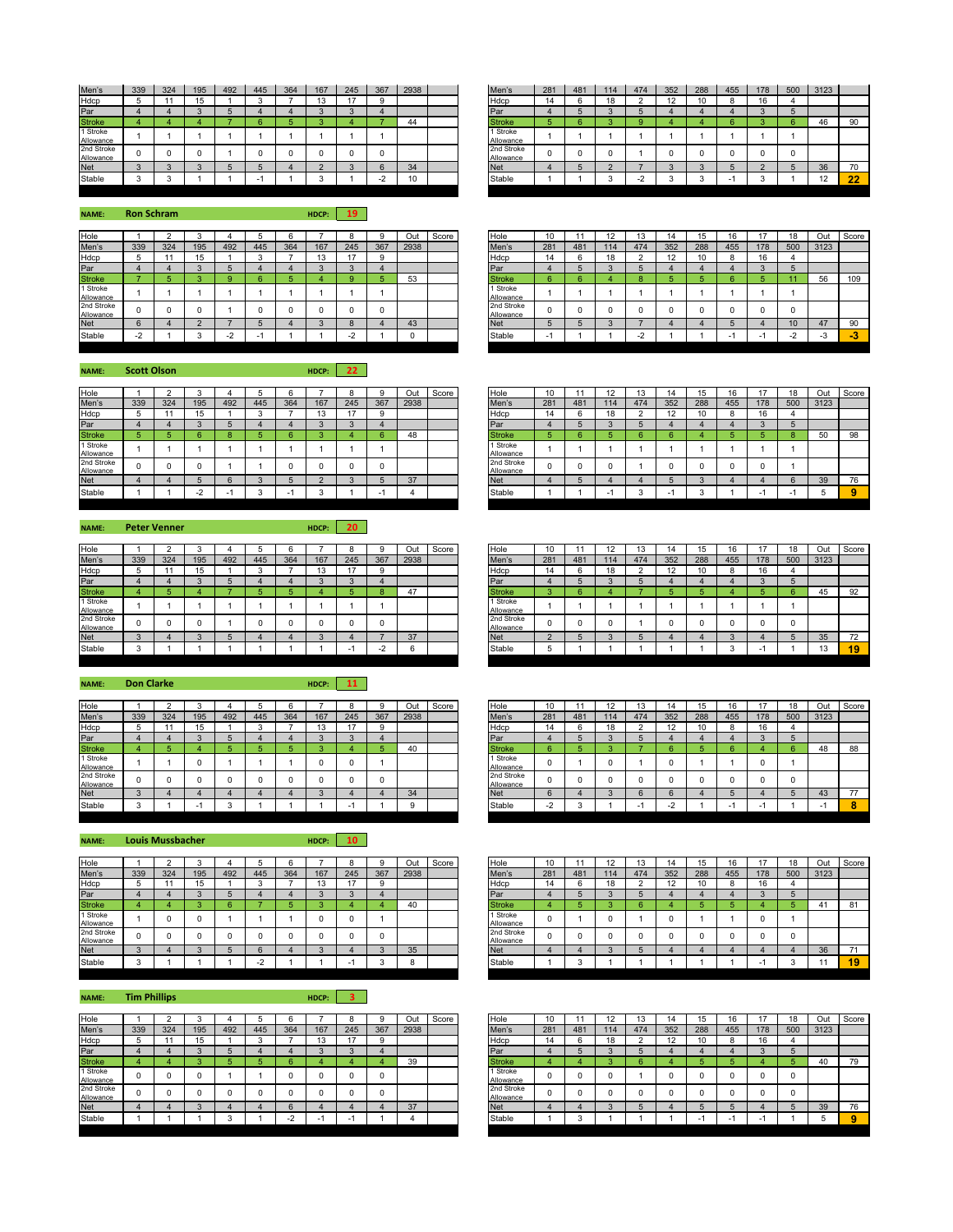| Men's                   | 339 | 324 | 195 | 492 | 445 | 364 | 167 | 245 | 367 | 2938 | Men's                   | 281 | 481 | 114 | 474 | 352 | 288 | 455 | 178 | 500 | 3123              |    |
|-------------------------|-----|-----|-----|-----|-----|-----|-----|-----|-----|------|-------------------------|-----|-----|-----|-----|-----|-----|-----|-----|-----|-------------------|----|
| Hdcp                    |     |     |     |     |     |     | ιJ  | 17  |     |      | Hdcp                    | 14  |     | 18  |     |     | 10  |     | 16  |     |                   |    |
| Par                     |     |     |     |     |     |     |     |     |     |      | Par                     |     |     |     |     |     |     |     |     |     |                   |    |
| <b>Stroke</b>           |     |     |     |     |     |     |     |     |     | 44   | <b>Stroke</b>           |     |     |     |     |     |     |     |     | Բ   | 46                | 90 |
| 1 Stroke<br>Allowance   |     |     |     |     |     |     |     |     |     |      | 1 Stroke<br>Allowance   |     |     |     |     |     |     |     |     |     |                   |    |
| 2nd Stroke<br>Allowance |     |     |     |     |     |     |     |     |     |      | 2nd Stroke<br>Allowance |     |     |     |     |     |     |     |     |     |                   |    |
| <b>Net</b>              |     |     |     |     |     |     |     |     |     | 34   | <b>Net</b>              |     |     |     |     |     |     |     |     |     | 36                | 70 |
| Stable                  |     |     |     |     |     |     |     |     |     | 10   | Stable                  |     |     |     |     |     |     |     |     |     | $\sqrt{2}$<br>14. | 22 |

**NAME: HDCP: 19 Ron Schram**

| Hole                    |                          |     |     |     |     |     |               |      |     | Out  | Score |            | Hole                    | 10  |     | 12  | . .        |     |     |     |     | 18  | Out  | Sco |
|-------------------------|--------------------------|-----|-----|-----|-----|-----|---------------|------|-----|------|-------|------------|-------------------------|-----|-----|-----|------------|-----|-----|-----|-----|-----|------|-----|
| Men's                   | 339                      | 324 | 195 | 492 | 445 | 364 | 167           | 245  | 367 | 2938 |       |            | Men's                   | 281 | 481 | 114 | 474        | 352 | 288 | 455 | 178 | 500 | 3123 |     |
| Hdcp                    |                          |     |     |     |     |     | $\Delta$<br>. | $-1$ |     |      |       |            | Hdcp                    | 14  |     | 18  |            |     | 10  |     | 16  |     |      |     |
| Par                     |                          |     |     |     |     |     |               |      |     |      |       | Par        |                         |     |     |     |            |     |     |     |     |     |      |     |
| <b>Stroke</b>           |                          |     |     |     |     |     |               |      |     | 53   |       |            | <b>Stroke</b>           |     |     |     |            |     |     |     |     |     | 56   | 10  |
| Stroke<br>Allowance     |                          |     |     |     |     |     |               |      |     |      |       |            | 1 Stroke<br>Allowance   |     |     |     |            |     |     |     |     |     |      |     |
| 2nd Stroke<br>Allowance |                          |     |     |     |     |     |               |      |     |      |       |            | 2nd Stroke<br>Allowance |     |     |     |            |     |     |     |     |     |      |     |
| <b>Net</b>              |                          |     |     |     |     |     |               |      |     | 43   |       | <b>Net</b> |                         |     |     |     |            |     |     |     |     | 10  | 47   | 90  |
| Stable                  | $\overline{\phantom{0}}$ |     |     |     |     |     |               |      |     |      |       |            | Stable                  |     |     |     | $\sqrt{2}$ |     |     |     |     |     |      | -3  |
|                         |                          |     |     |     |     |     |               |      |     |      |       |            |                         |     |     |     |            |     |     |     |     |     |      |     |

**NAME: HDCP: 22 Scott Olson**

| Hole                    |     |     |     |     |     |     |        |     |     | Out  | Score | Hole                    | 10<br>ιv |     |                          |     |     | 15  | 16  |     | 18  | Out  |
|-------------------------|-----|-----|-----|-----|-----|-----|--------|-----|-----|------|-------|-------------------------|----------|-----|--------------------------|-----|-----|-----|-----|-----|-----|------|
| Men's                   | 339 | 324 | 195 | 492 | 445 | 364 | 167    | 245 | 367 | 2938 |       | Men's                   | 281      | 481 | 114                      | 474 | 352 | 288 | 455 | 178 | 500 | 3123 |
| Hdcp                    |     |     | 15  |     |     |     | 13     |     |     |      |       | Hdcp                    | 14       |     | $\sim$<br>.              |     | ∠   | 10  |     | 16  |     |      |
| Par                     |     |     |     |     |     |     |        |     |     |      |       | Par                     |          |     |                          |     |     |     |     |     |     |      |
| <b>Stroke</b>           |     |     |     |     |     |     |        |     |     | 48   |       | <b>Stroke</b>           |          |     |                          |     |     |     |     |     |     | 50   |
| 1 Stroke<br>Allowance   |     |     |     |     |     |     |        |     |     |      |       | 1 Stroke<br>Allowance   |          |     |                          |     |     |     |     |     |     |      |
| 2nd Stroke<br>Allowance |     |     |     |     |     |     |        |     |     |      |       | 2nd Stroke<br>Allowance |          |     |                          |     |     |     |     |     |     |      |
| <b>Net</b>              |     |     |     |     |     |     | $\sim$ |     |     | 37   |       | <b>Net</b>              |          |     |                          |     |     |     |     |     |     | 39   |
| Stable                  |     |     |     |     |     |     |        |     |     |      |       | Stable                  |          |     | $\overline{\phantom{0}}$ |     |     |     |     | -   |     | 5    |

## **NAME: HDCP: 20 Peter Venner**

| Hole                    |     |     |     |     |     |     |     |     |     | Out  | Score | Hole                    | 10  |     | $\overline{A}$<br>$\sim$ |     |     | 15  | 16  |                          | 18  | Out  |
|-------------------------|-----|-----|-----|-----|-----|-----|-----|-----|-----|------|-------|-------------------------|-----|-----|--------------------------|-----|-----|-----|-----|--------------------------|-----|------|
| Men's                   | 339 | 324 | 195 | 492 | 445 | 364 | 167 | 245 | 367 | 2938 |       | Men's                   | 281 | 481 | 14                       | 474 | 352 | 288 | 455 | 178                      | 500 | 3123 |
|                         |     |     | 15  |     |     |     | 13  | 47  | 9   |      |       | Hdcp                    | 14  |     | <b>AC</b>                |     |     | 10  |     | 16                       |     |      |
| Hdcp<br>Par             |     |     |     |     |     |     |     |     |     |      |       | Par                     |     |     |                          |     |     |     |     |                          |     |      |
| <b>Stroke</b>           |     |     |     |     |     |     |     |     | 8   | 47   |       | <b>Stroke</b>           |     |     |                          |     |     |     |     |                          |     | 45   |
| 1 Stroke<br>Allowance   |     |     |     |     |     |     |     |     |     |      |       | Stroke<br>Allowance     |     |     |                          |     |     |     |     |                          |     |      |
| 2nd Stroke<br>Allowance |     |     |     |     |     |     |     |     | 0   |      |       | 2nd Stroke<br>Allowance |     |     |                          |     |     |     |     |                          |     |      |
| Net                     |     |     |     |     |     |     |     |     |     | 37   |       | <b>Net</b>              |     |     |                          |     |     |     |     |                          |     | 35   |
| Stable                  |     |     |     |     |     |     |     |     |     |      |       | Stable                  | ು   |     |                          |     |     |     |     | $\overline{\phantom{0}}$ |     | 13   |
|                         |     |     |     |     |     |     |     |     |     |      |       |                         |     |     |                          |     |     |     |     |                          |     |      |

**NAME: HDCP: 11 Don Clarke**

| Hole                    |     |     |     |     |     |     |               |       |          | Out  | Score | Hole                    | 10     |     |     | 13  | 14            |     | 16  |     |          | Out  | Sco |
|-------------------------|-----|-----|-----|-----|-----|-----|---------------|-------|----------|------|-------|-------------------------|--------|-----|-----|-----|---------------|-----|-----|-----|----------|------|-----|
| Men's                   | 339 | 324 | 195 | 492 | 445 | 364 | 167           | 245   | 367      | 2938 |       | Men's                   | 281    | 481 | 114 | 474 | 352           | 288 | 455 | 178 | 500      | 3123 |     |
| Hdcp                    |     |     |     |     |     |     | $\sim$<br>ں ו | $4 -$ | ۰<br>-32 |      |       | Hdcp                    | 14     |     | 18  |     | $\sim$<br>' 4 |     |     | 16  |          |      |     |
| Par                     |     |     |     |     |     |     |               |       |          |      |       | Par                     |        |     |     |     |               |     |     |     | ÷        |      |     |
| <b>Stroke</b>           |     |     |     |     |     |     |               |       |          | ᠇    |       | <b>Stroke</b>           |        |     |     |     |               |     |     |     |          |      | 88  |
| 1 Stroke<br>Allowance   |     |     |     |     |     |     |               |       |          |      |       | Stroke<br>Allowance     |        |     |     |     |               |     |     |     |          |      |     |
| 2nd Stroke<br>Allowance |     |     |     |     |     |     |               |       |          |      |       | 2nd Stroke<br>Allowance |        |     |     |     |               |     |     |     | $\Omega$ |      |     |
| <b>Net</b>              |     |     |     |     |     |     |               |       |          | 34   |       | <b>Net</b>              |        |     |     |     |               |     |     |     |          | 43   | 77  |
| Stable                  |     |     |     |     |     |     |               |       |          |      |       | Stable                  | $\sim$ |     |     |     |               |     |     |     |          |      |     |

**NAME: HDCP: 10 Louis Mussbacher**

| Hole                    |     |     |     |     |     |     |     |     | ົ   | Out    | Score | Hole                    | 10  |     | 14        |     |     | 15  | 16  |     | 18  | Out  |
|-------------------------|-----|-----|-----|-----|-----|-----|-----|-----|-----|--------|-------|-------------------------|-----|-----|-----------|-----|-----|-----|-----|-----|-----|------|
| Men's                   | 339 | 324 | 195 | 492 | 445 | 364 | 167 | 245 | 367 | 2938   |       | Men's                   | 281 | 481 | 14        | 474 | 352 | 288 | 455 | 178 | 500 | 3123 |
| Hdcp                    |     |     | 61  |     |     |     | 13  |     | 9   |        |       | Hdcp                    | 14  |     | <b>AC</b> |     |     | 10  |     | 16  |     |      |
| Par                     |     |     |     |     |     |     |     |     |     |        |       | Par                     |     |     |           |     |     |     |     |     |     |      |
| <b>Stroke</b>           |     |     |     |     |     |     |     |     |     | 40     |       | <b>Stroke</b>           |     |     |           |     |     |     |     |     |     | 41   |
| 1 Stroke<br>Allowance   |     |     |     |     |     |     |     |     |     |        |       | 1 Stroke<br>Allowance   |     |     |           |     |     |     |     |     |     |      |
| 2nd Stroke<br>Allowance |     |     |     |     |     |     |     |     | 0   |        |       | 2nd Stroke<br>Allowance |     |     |           |     |     |     |     |     |     |      |
| <b>Net</b>              |     |     |     |     |     |     |     |     |     | 35     |       | <b>Net</b>              |     |     |           |     |     |     |     |     |     | 36   |
| Stable                  |     |     |     |     |     |     |     |     |     | $\sim$ |       | Stable                  |     |     |           |     |     |     |     | -   |     |      |

| <b>NAME:</b>            | <b>Tim Phillips</b> |     |           |              |                     |                 | HDCP:     |           |          |      |       |                         |           |     |           |     |           |           |        |           |     |      |
|-------------------------|---------------------|-----|-----------|--------------|---------------------|-----------------|-----------|-----------|----------|------|-------|-------------------------|-----------|-----|-----------|-----|-----------|-----------|--------|-----------|-----|------|
| Hole                    |                     |     | $\sim$    |              |                     |                 |           |           |          | Out  | Score | Hole                    | 10        |     |           | 13  | 14        | 15        | 16     | 17        | 18  | Out  |
| Men's<br>Hdcp           | 339                 | 324 | 195<br>15 | 492          | 445<br>$\sim$<br>J. | 364             | 167<br>13 | 245<br>17 | 367<br>9 | 2938 |       | Men's<br>Hdcp           | 281<br>14 | 481 | 114<br>18 | 474 | 352<br>12 | 288<br>10 | 455    | 178<br>16 | 500 | 3123 |
| Par                     |                     |     | $\sim$    | b            |                     |                 | -3        | -3        |          |      |       | Par                     |           |     |           | b.  |           |           |        |           |     |      |
| <b>Stroke</b>           |                     |     |           |              |                     | ĥ               |           |           |          | 39   |       | <b>Stroke</b>           |           |     |           | 6.  |           |           |        |           |     | 40   |
| 1 Stroke<br>Allowance   |                     |     |           |              |                     |                 |           |           | 0        |      |       | 1 Stroke<br>Allowance   |           |     |           |     |           |           |        |           |     |      |
| 2nd Stroke<br>Allowance |                     |     |           |              | $\Omega$            | n               |           |           | $\Omega$ |      |       | 2nd Stroke<br>Allowance |           |     |           | 0   |           |           |        |           |     |      |
| <b>Net</b>              |                     |     | $\sim$    |              |                     | $6\overline{6}$ |           |           |          | 37   |       | <b>Net</b>              |           |     | $\sim$    |     |           |           |        |           |     | 39   |
| Stable                  |                     |     |           | $\sim$<br>×. |                     | $-2$            | нL        | н.        |          |      |       | Stable                  |           |     |           |     |           | . .       | $\sim$ | <b>.</b>  |     | 5    |

| Men's                   | 281            | 481      | 114      | 474            | 352 | 288            | 455            | 178 | 500 | 3123 |    |
|-------------------------|----------------|----------|----------|----------------|-----|----------------|----------------|-----|-----|------|----|
| Hdcp                    | 14             | 6        | 18       | $\overline{2}$ | 12  | 10             | 8              | 16  | 4   |      |    |
| Par                     | $\overline{4}$ | 5        | 3        | 5              | 4   | $\overline{4}$ | $\overline{4}$ | 3   | 5   |      |    |
| <b>Stroke</b>           | 5              | 6        | 3        | 9              | 4   | 4              | 6              | 3   | 6   | 46   | 90 |
| 1 Stroke<br>Allowance   | и              |          |          |                |     |                |                |     |     |      |    |
| 2nd Stroke<br>Allowance | $\Omega$       | $\Omega$ | $\Omega$ |                | 0   | 0              | $\Omega$       | 0   | 0   |      |    |
| <b>Net</b>              | 4              | 5        | $\Omega$ |                | 3   | 3              | 5              | C   | 5   | 36   | 70 |
| Stable                  |                |          | 3        | $-2$           | 3   | 3              | ۰              | 3   |     | 12   | 22 |
|                         |                |          |          |                |     |                |                |     |     |      |    |

| Hole                    |        |     |        |               |     |     |               |        |     | Out  | Score | Hole                    | 10                       |     | 12  | 13  | 14  | 15  | 16  |     | 18     | Out  | Score |
|-------------------------|--------|-----|--------|---------------|-----|-----|---------------|--------|-----|------|-------|-------------------------|--------------------------|-----|-----|-----|-----|-----|-----|-----|--------|------|-------|
| Men's                   | 339    | 324 | 195    | 492           | 445 | 364 | 167           | 245    | 367 | 2938 |       | Men's                   | 281                      | 481 | 114 | 474 | 352 | 288 | 455 | 178 | 500    | 3123 |       |
| Hdcp                    |        |     |        |               |     |     | $\sim$<br>ں ו |        |     |      |       | Hdcp                    | 14                       |     | 18  |     | 12  | 10  |     |     |        |      |       |
| Par                     |        |     |        |               |     |     |               |        |     |      |       | Par                     |                          |     |     |     |     |     |     |     |        |      |       |
| <b>Stroke</b>           |        |     |        |               |     |     |               |        |     | 53   |       | <b>Stroke</b>           |                          |     |     |     |     |     |     |     |        | 56   | 109   |
| 1 Stroke<br>Allowance   |        |     |        |               |     |     |               |        |     |      |       | 1 Stroke<br>Allowance   |                          |     |     |     |     |     |     |     |        |      |       |
| 2nd Stroke<br>Allowance |        |     |        |               |     |     |               |        |     |      |       | 2nd Stroke<br>Allowance | $\Omega$                 |     |     |     |     |     |     |     |        |      |       |
| <b>Net</b>              |        |     |        |               |     |     |               |        |     | 43   |       | <b>Net</b>              | w                        |     |     |     |     |     |     |     | 10     | 47   | 90    |
| Stable                  | $\sim$ |     | $\sim$ | $\sim$<br>. . | . . |     |               | $\sim$ |     |      |       | Stable                  | $\overline{\phantom{a}}$ |     |     |     |     |     |     |     | $\sim$ |      | - 3   |
|                         |        |     |        |               |     |     |               |        |     |      |       |                         |                          |     |     |     |     |     |     |     |        |      |       |

| Hole                    |     |     |     |     |     |     |                |     |        | Out  | Score | Hole                    | 10       |                          | 12  | 13                       | 14        | 15  | 16  | $\overline{A}$ | 18  | Out  | Score |
|-------------------------|-----|-----|-----|-----|-----|-----|----------------|-----|--------|------|-------|-------------------------|----------|--------------------------|-----|--------------------------|-----------|-----|-----|----------------|-----|------|-------|
| Men's                   | 339 | 324 | 195 | 492 | 445 | 364 | 167            | 245 | 367    | 2938 |       | Men's                   | 281      | 481                      | 114 | 474                      | 352       | 288 | 455 | 178            | 500 | 3123 |       |
| Hdcp                    |     |     | 15  |     |     |     | $\Delta$<br>10 |     | $\sim$ |      |       | Hdcp                    | 14       | $\overline{\phantom{a}}$ | 18  | $\overline{\phantom{a}}$ | 12<br>ı∠. | 10  |     |                |     |      |       |
| Par                     |     |     |     |     |     |     |                |     |        |      |       | Par                     |          |                          |     |                          |           |     |     |                |     |      |       |
| <b>Stroke</b>           |     |     |     |     |     |     |                |     | 6      | 48   |       | <b>Stroke</b>           |          |                          |     |                          |           |     |     |                |     | 50   | 98    |
| 1 Stroke<br>Allowance   |     |     |     |     |     |     |                |     |        |      |       | 1 Stroke<br>Allowance   |          |                          |     |                          |           |     |     |                |     |      |       |
| 2nd Stroke<br>Allowance | 0   | υ   |     |     |     |     |                |     |        |      |       | 2nd Stroke<br>Allowance | $\Omega$ |                          |     |                          |           |     |     |                |     |      |       |
| Net                     |     |     |     |     |     |     |                |     |        | 37   |       | <b>Net</b>              |          |                          |     |                          |           |     |     |                |     | 39   | 76    |
| Stable                  |     |     |     |     |     | -   |                |     |        |      |       | Stable                  |          |                          |     |                          | - - -     |     |     |                |     |      |       |
|                         |     |     |     |     |     |     |                |     |        |      |       |                         |          |                          |     |                          |           |     |     |                |     |      |       |

| Hole                    |        |     |                          |     |     |     |     |     |     | Out  | Score | Hole                    | 10  |     | 12 | 13  |     |                 |     |     | 18  | Out  | Score |
|-------------------------|--------|-----|--------------------------|-----|-----|-----|-----|-----|-----|------|-------|-------------------------|-----|-----|----|-----|-----|-----------------|-----|-----|-----|------|-------|
| Men's                   | 339    | 324 | 195                      | 492 | 445 | 364 | 167 | 245 | 367 | 2938 |       | Men's                   | 281 | 481 | 14 | 474 | 352 | 288             | 455 | 178 | 500 | 3123 |       |
| Hdcp                    |        |     | $\overline{\phantom{a}}$ |     |     |     |     |     |     |      |       | Hdcp                    | 14  |     | 18 |     | 12  | $\overline{10}$ |     | 16  |     |      |       |
| Par                     |        |     |                          |     |     |     |     |     |     |      |       | Par                     |     |     |    |     |     |                 |     |     |     |      |       |
| <b>Stroke</b>           |        |     |                          |     |     |     |     |     |     | 47   |       | Stroke                  |     |     |    |     |     |                 |     |     |     | 45   | 92    |
| 1 Stroke<br>Allowance   |        |     |                          |     |     |     |     |     |     |      |       | 1 Stroke<br>Allowance   |     |     |    |     |     |                 |     |     |     |      |       |
| 2nd Stroke<br>Allowance |        |     |                          |     |     |     |     |     |     |      |       | 2nd Stroke<br>Allowance |     |     |    |     |     |                 |     |     | O   |      |       |
| <b>Net</b>              |        |     |                          |     |     |     |     |     |     | 37   |       | <b>Net</b>              |     |     |    |     |     |                 |     |     |     | 35   | 72    |
| Stable                  | $\sim$ |     |                          |     |     |     |     |     | ٠.  |      |       | Stable                  | ÷   |     |    |     |     |                 |     | . . |     | 13   | 19    |
|                         |        |     |                          |     |     |     |     |     |     |      |       |                         |     |     |    |     |     |                 |     |     |     |      |       |

| Hole                    |     |     |     |     |     |     |               |                |     | Out  | Score | Hole                    | 10             |     |        | L.  |         | 15              | 10  | $\overline{A}$ | 18  | Out  | Score |
|-------------------------|-----|-----|-----|-----|-----|-----|---------------|----------------|-----|------|-------|-------------------------|----------------|-----|--------|-----|---------|-----------------|-----|----------------|-----|------|-------|
| Men's                   | 339 | 324 | 195 | 492 | 445 | 364 | 167           | 245            | 367 | 2938 |       | Men's                   | 281            | 481 | 114    | 474 | 352     | 288             | 455 | 178            | 500 | 3123 |       |
| Hdcp                    |     |     |     |     |     |     | $\sim$<br>ن ا | $\overline{a}$ |     |      |       | Hdcp                    | 14             |     |        |     | 1つ<br>L | 10 <sup>°</sup> |     | 16             |     |      |       |
| Par                     |     |     |     |     |     |     |               |                |     |      |       | Par                     |                |     | $\sim$ |     |         |                 |     |                |     |      |       |
| <b>Stroke</b>           |     |     |     |     |     |     |               |                |     | 40   |       | Stroke                  |                |     |        |     |         |                 |     |                |     | 48   | 88    |
| 1 Stroke<br>Allowance   |     |     |     |     |     |     |               |                |     |      |       | 1 Stroke<br>Allowance   | υ              |     |        |     |         |                 |     |                |     |      |       |
| 2nd Stroke<br>Allowance |     |     |     |     |     |     |               |                |     |      |       | 2nd Stroke<br>Allowance | υ              |     |        |     |         |                 |     |                |     |      |       |
| Net                     |     |     |     |     |     |     |               |                |     | 34   |       | <b>Net</b>              | $\sim$         |     | $\sim$ |     |         |                 |     |                |     | 43   | 77    |
| Stable                  |     |     |     |     |     |     |               |                |     |      |       | Stable                  | $\sim$<br>$-2$ |     |        |     | ∼       |                 |     |                |     |      |       |
|                         |     |     |     |     |     |     |               |                |     |      |       |                         |                |     |        |     |         |                 |     |                |     |      |       |

| Hole                    |        |     |     |     |     |     |        |     |        | Out  | Score | Hole                    | 10       |     | 12  | 13  | 14  | 1 E |     |          | 18  | Out            | Score |
|-------------------------|--------|-----|-----|-----|-----|-----|--------|-----|--------|------|-------|-------------------------|----------|-----|-----|-----|-----|-----|-----|----------|-----|----------------|-------|
| Men's                   | 339    | 324 | 195 | 492 | 445 | 364 | 167    | 245 | 367    | 2938 |       | Men's                   | 281      | 481 | '14 | 474 | 352 | 288 | 455 | 178      | 500 | 3123           |       |
| Hdcp                    |        |     |     |     |     |     | $\sim$ |     | c      |      |       | Hdcp                    | 14       |     | 18  |     | 1つ  |     |     | 16       |     |                |       |
| Par                     |        |     |     |     |     |     |        |     |        |      |       | Par                     |          |     |     |     |     |     |     | Ð        |     |                |       |
| <b>Stroke</b>           |        |     |     |     |     |     |        |     |        | 40   |       | <b>Stroke</b>           |          |     |     |     |     |     |     |          |     | $\overline{4}$ | 81    |
| 1 Stroke<br>Allowance   |        |     |     |     |     |     |        |     |        |      |       | 1 Stroke<br>Allowance   | $\Omega$ |     |     |     |     |     |     | $\Omega$ |     |                |       |
| 2nd Stroke<br>Allowance |        | O   |     |     |     |     |        |     | O      |      |       | 2nd Stroke<br>Allowance | 0        |     |     |     |     |     |     | 0        |     |                |       |
| Net                     | $\sim$ |     |     |     |     |     |        |     | $\sim$ | 35   |       | <b>Net</b>              |          |     |     |     |     |     |     |          |     | 36             |       |
| Stable                  |        |     |     |     | -   |     |        |     |        | n    |       | Stable                  |          |     |     |     |     |     |     |          |     | $\overline{a}$ | 19    |
|                         |        |     |     |     |     |     |        |     |        |      |       |                         |          |     |     |     |     |     |     |          |     |                |       |

| Hole                    |     |     |     |     |     |     |     |     |     | Out  | Score | Hole                    | 10  |     |     | IJ  |     | 15  | 16  |     | 18  | Out  | Score |
|-------------------------|-----|-----|-----|-----|-----|-----|-----|-----|-----|------|-------|-------------------------|-----|-----|-----|-----|-----|-----|-----|-----|-----|------|-------|
| Men's                   | 339 | 324 | 195 | 492 | 445 | 364 | 167 | 245 | 367 | 2938 |       | Men's                   | 281 | 481 | 114 | 474 | 352 | 288 | 455 | 178 | 500 | 3123 |       |
| Hdcp                    |     |     |     |     |     |     | ن ا |     |     |      |       | Hdcp                    | 14  |     |     |     | L   | 10  |     | 16  |     |      |       |
| Par                     |     |     |     |     |     |     |     |     |     |      |       | Par                     |     |     |     |     |     |     |     |     |     |      |       |
| <b>Stroke</b>           |     |     |     |     |     |     |     |     |     | 39   |       | Stroke                  |     |     |     |     |     |     |     |     |     | 40   | 79    |
| 1 Stroke<br>Allowance   |     |     |     |     |     |     |     |     |     |      |       | 1 Stroke<br>Allowance   |     |     |     |     |     |     |     |     |     |      |       |
| 2nd Stroke<br>Allowance |     |     |     |     |     |     |     |     |     |      |       | 2nd Stroke<br>Allowance |     |     |     |     |     |     |     |     |     |      |       |
| Net                     |     |     |     |     |     |     |     |     |     | 37   |       | <b>Net</b>              |     |     |     |     |     |     |     |     |     | 39   | 76    |
| Stable                  |     |     |     |     |     |     |     |     |     |      |       | Stable                  |     |     |     |     |     |     |     |     |     |      |       |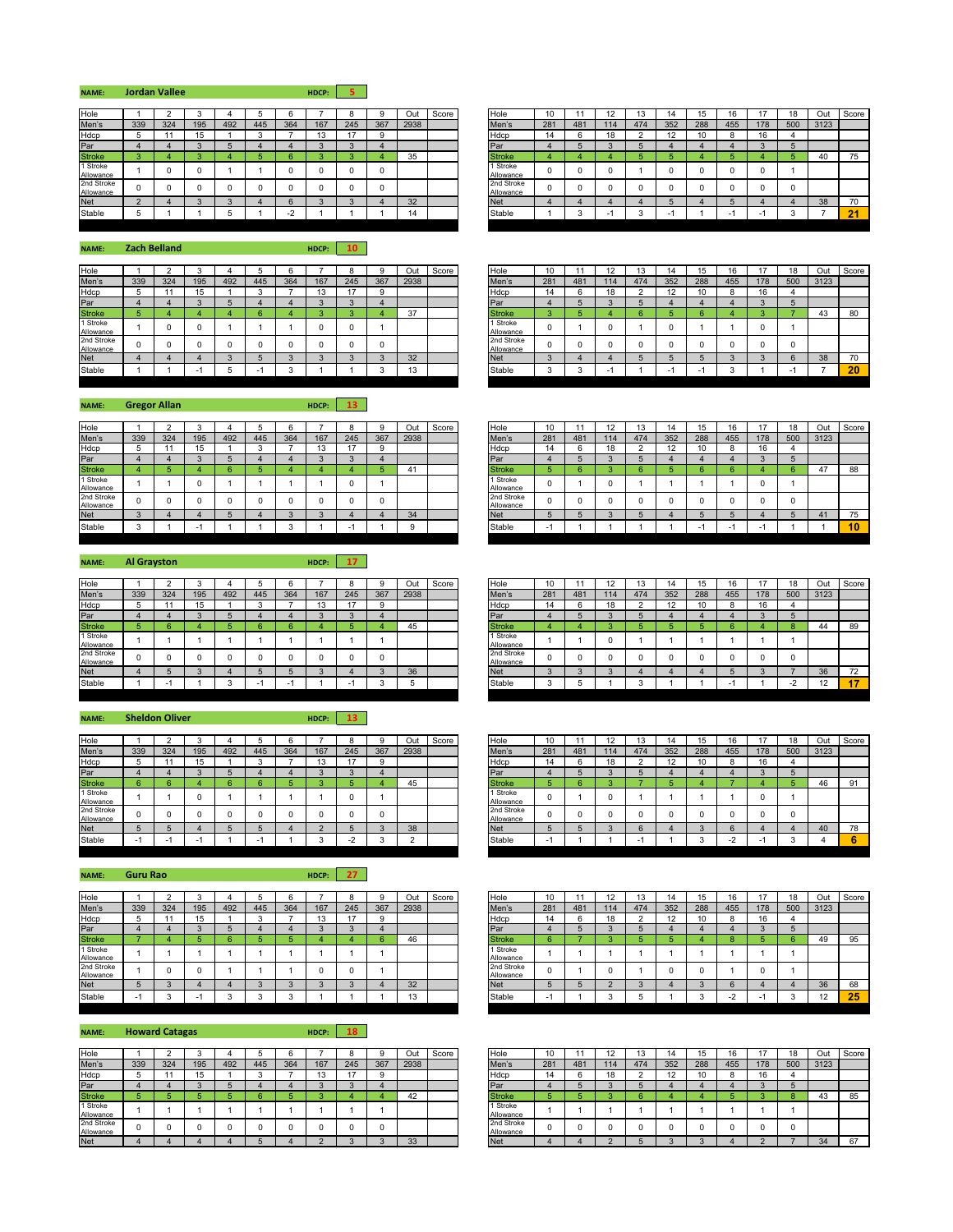| <b>Jordan Vallee</b><br>NAME: | HDCP: 5 |  |
|-------------------------------|---------|--|
|-------------------------------|---------|--|

| Hole                    |     |     |     |     |     |           |     |        |     | Out  | Score | Hole                    | 10  |     |     |     | 14  |     | 16  |     |    |
|-------------------------|-----|-----|-----|-----|-----|-----------|-----|--------|-----|------|-------|-------------------------|-----|-----|-----|-----|-----|-----|-----|-----|----|
| Men's                   | 339 | 324 | 195 | 492 | 445 | 364       | 167 | 245    | 367 | 2938 |       | Men's                   | 281 | 481 | 114 | 474 | 352 | 288 | 455 | 178 | 50 |
| Hdcp                    |     |     | 15  |     |     |           | ن ا |        |     |      |       | Hdcp                    | 14  | ĸ   | 18  |     | 12  |     |     | 16  |    |
| Par                     |     |     | -   |     |     |           |     | $\sim$ |     |      |       | <b>IPar</b>             |     |     |     |     |     |     |     |     |    |
| <b>Stroke</b>           |     |     |     |     |     | 6         |     |        |     | 35   |       | <b>Stroke</b>           |     |     |     |     |     |     |     |     |    |
| 1 Stroke<br>Allowance   |     |     |     |     |     |           |     |        |     |      |       | 1 Stroke<br>Allowance   |     | U   |     |     |     |     |     |     |    |
| 2nd Stroke<br>Allowance |     |     |     |     |     |           |     |        |     |      |       | 2nd Stroke<br>Allowance |     |     |     |     |     |     |     |     |    |
| <b>Net</b>              |     |     |     |     |     | b         |     |        |     | 32   |       | <b>Net</b>              |     |     |     |     |     |     |     |     |    |
| Stable                  |     |     |     |     |     | r<br>$-2$ |     |        |     | 11   |       | Stable                  |     |     |     |     | -   |     |     |     |    |

Hole 10 11 12 13 14 15 16 17 18 Out Score<br>Men's 281 481 114 474 352 288 455 178 500 3123 Men's 281 481 114 474 352 288 455 178 500 3123<br>Hdcp 14 6 18 2 12 10 8 16 4 Stroke | 3 | 4 | 3 | 4 | 5 | 6 | 3 | 3 | 4 | 35 | 1 | Stroke | 4 | 4 | 4 | 5 | 5 | 4 | 5 | 4 | 5 | 40 | 75 Allowance 0 0 0 1 0 0 0 0 1 Allowance <sup>0</sup> <sup>0</sup> <sup>0</sup> <sup>0</sup> <sup>0</sup> <sup>0</sup> <sup>0</sup> <sup>0</sup> <sup>0</sup> Net | 2 | 4 | 3 | 3 | 4 | 6 | 3 | 3 | 4 | 32 | | | | Net | 4 | 4 | 4 | 4 | 5 | 4 | 5 | 4 | 4 | 38 | 70 Stable 5 1 1 5 1 -2 1 1 1 14 Stable 1 3 -1 3 -1 1 -1 -1 3 7 **21**

**NAME: HDCP: 10 Zach Belland**

| Hole                    |     |     |     |     |     |     |              |     |     | Out  | Score | <b>Hole</b>             | 10  |     | $\sim$ |     | 14  | 15  | 16  |     | 18      | Out  | Score |
|-------------------------|-----|-----|-----|-----|-----|-----|--------------|-----|-----|------|-------|-------------------------|-----|-----|--------|-----|-----|-----|-----|-----|---------|------|-------|
| Men's                   | 339 | 324 | 195 | 492 | 445 | 364 | 167          | 245 | 367 | 2938 |       | Men's                   | 281 | 481 | 114    | 474 | 352 | 288 | 455 | 178 | 500     | 3123 |       |
| Hdcp                    |     |     |     |     |     |     | $\sim$<br>יי |     |     |      |       | Hdcp                    | 14  |     | 18     |     | 12  | 10  |     | 16  |         |      |       |
| Par                     |     |     |     |     |     |     |              |     |     |      |       | Par                     |     |     |        |     |     |     |     |     | $\cdot$ |      |       |
| <b>Stroke</b>           |     |     |     |     |     |     |              |     |     | 37   |       | <b>Stroke</b>           |     |     |        |     |     |     |     |     |         | 43   | 80    |
| 1 Stroke<br>Allowance   |     |     |     |     |     |     |              |     |     |      |       | 1 Stroke<br>Allowance   |     |     |        |     |     |     |     |     |         |      |       |
| 2nd Stroke<br>Allowance |     |     |     |     |     |     |              |     |     |      |       | 2nd Stroke<br>Allowance |     |     |        |     |     | ŋ   |     |     |         |      |       |
| <b>Net</b>              |     |     |     |     |     |     |              |     |     | 32   |       | <b>Net</b>              |     |     |        |     |     |     |     |     |         | 38   | 70    |
| Stable                  |     |     |     |     |     |     |              |     |     | ت ا  |       | Stable                  |     |     | -      |     |     |     |     |     |         |      | 20    |
|                         |     |     |     |     |     |     |              |     |     |      |       |                         |     |     |        |     |     |     |     |     |         |      |       |

**NAME: HDCP: 13 Gregor Allan**

| Hole                    |     |     |     |     |     |     |     |     |     | Out  | Score | Hole          |                         |     |                 | $\overline{a}$ |     | 14  |     | 16  |     | 18  | Out  | Score |
|-------------------------|-----|-----|-----|-----|-----|-----|-----|-----|-----|------|-------|---------------|-------------------------|-----|-----------------|----------------|-----|-----|-----|-----|-----|-----|------|-------|
| Men's                   | 339 | 324 | 195 | 492 | 445 | 364 | 167 | 245 | 367 | 2938 |       | Men's         |                         | 281 | 48 <sup>7</sup> | ' 14.          | 474 | 352 | 288 | 455 | 178 | 500 | 3123 |       |
| Hdcp                    |     |     | 15  |     |     |     |     | 17  |     |      |       | Hdcp          |                         |     |                 | 18             |     |     |     |     | 16  |     |      |       |
| Par                     |     |     |     |     |     |     |     |     |     |      |       | Par           |                         |     |                 |                |     |     |     |     |     |     |      |       |
| <b>Stroke</b>           |     |     |     |     |     |     |     |     |     | 4    |       | <b>Stroke</b> |                         |     |                 |                |     |     |     |     |     |     | 4    | 88    |
| 1 Stroke<br>Allowance   |     |     |     |     |     |     |     |     |     |      |       |               | 1 Stroke<br>Allowance   |     |                 |                |     |     |     |     |     |     |      |       |
| 2nd Stroke<br>Allowance |     |     |     |     |     |     |     |     |     |      |       |               | 2nd Stroke<br>Allowance |     |                 |                |     |     |     |     |     |     |      |       |
| Net                     |     |     |     |     |     |     |     |     |     | 34   |       | <b>Net</b>    |                         |     |                 |                |     |     |     |     |     |     |      | 75    |
| Stable                  |     |     |     |     |     |     |     |     |     |      |       | Stable        |                         |     |                 |                |     |     |     |     |     |     |      | 10    |

| Hole                    | 10       | 11       | 12  | 13             | 14  | 15             | 16             | 17                   | 18  | Out  | Score |
|-------------------------|----------|----------|-----|----------------|-----|----------------|----------------|----------------------|-----|------|-------|
| Men's                   | 281      | 481      | 114 | 474            | 352 | 288            | 455            | 178                  | 500 | 3123 |       |
| Hdcp                    | 14       | 6        | 18  | $\overline{2}$ | 12  | 10             | 8              | 16                   | 4   |      |       |
| Par                     | 4        | 5        | 3   | 5              | 4   | 4              | $\overline{4}$ | 3                    | 5   |      |       |
| <b>Stroke</b>           | 5        | 6        | 3   | 6              | 5   | 6              | 6              | 4                    | 6   | 47   | 88    |
| 1 Stroke<br>Allowance   | $\Omega$ | 4        | 0   | 1              | 1   | 1              | 1              | 0                    | 1   |      |       |
| 2nd Stroke<br>Allowance | $\Omega$ | $\Omega$ | 0   | 0              | 0   | 0              | 0              | 0                    | 0   |      |       |
| <b>Net</b>              | 5        | 5        | 3   | 5              | 4   | 5              | 5              | $\overline{4}$       | 5   | 41   | 75    |
| $Cth$ <sub>N</sub>      | 4        | 4        | 4   | 4              | 4   | $\overline{1}$ | $\overline{A}$ | $\blacktriangleleft$ | 4   | 4    | 40.   |

| Hole                    |     |                          |        |                          |        |     |        |     |     | Out  | Score | Hole                    | 10              |     |        | 13  | 14  | 15  | 16  |     |        | Out     | Score |
|-------------------------|-----|--------------------------|--------|--------------------------|--------|-----|--------|-----|-----|------|-------|-------------------------|-----------------|-----|--------|-----|-----|-----|-----|-----|--------|---------|-------|
| Men's                   | 339 | 324                      | 195    | 492                      | 445    | 364 | 167    | 245 | 367 | 2938 |       | Men's                   | 281             | 481 | 114    | 474 | 352 | 288 | 455 | 178 | 500    | 3123    |       |
| Hdcp                    |     |                          |        |                          |        |     | $\sim$ |     |     |      |       | Hdcp                    | 11              |     | 18     |     | 12  | 10  |     |     |        |         |       |
| Par                     |     |                          |        |                          |        |     |        |     |     |      |       | Par                     |                 |     |        |     |     |     |     |     |        |         |       |
| <b>Stroke</b>           |     |                          |        |                          |        |     |        |     |     | 45   |       | <b>Stroke</b>           |                 |     |        |     |     |     |     |     |        | 44      | 89    |
| 1 Stroke<br>Allowance   |     |                          |        |                          |        |     |        |     |     |      |       | 1 Stroke<br>Allowance   |                 |     |        |     |     |     |     |     |        |         |       |
| 2nd Stroke<br>Allowance | 0   | u                        |        |                          |        |     |        |     |     |      |       | 2nd Stroke<br>Allowance | $\Omega$        |     |        |     |     |     |     |     |        |         |       |
| Net                     |     |                          | $\sim$ |                          |        |     |        |     |     | 36   |       | <b>Net</b>              | $\sim$          |     | $\sim$ |     |     |     |     |     |        | 36      | 72    |
| Stable                  |     | $\overline{\phantom{a}}$ |        | $\overline{\phantom{a}}$ | $\sim$ | -   |        |     |     |      |       | Stable                  | $\sqrt{2}$<br>J |     |        |     |     |     | -   |     | $\sim$ | 12<br>L |       |
|                         |     |                          |        |                          |        |     |        |     |     |      |       |                         |                 |     |        |     |     |     |     |     |        |         |       |

| Hole                    |     |        |     |     |     |     |                      |     |     | Out  | Score | Hole                    | 10       |     | $\overline{1}$ | 13  | 14        | 1 <sub>E</sub><br>w | 16  |     | 18  | Out  | Score |
|-------------------------|-----|--------|-----|-----|-----|-----|----------------------|-----|-----|------|-------|-------------------------|----------|-----|----------------|-----|-----------|---------------------|-----|-----|-----|------|-------|
| Men's                   | 339 | 324    | 195 | 492 | 445 | 364 | 167                  | 245 | 367 | 2938 |       | Men's                   | 281      | 481 | 114            | 474 | 352       | 288                 | 455 | 178 | 500 | 3123 |       |
| Hdcp                    | э   |        |     |     |     |     | $\overline{a}$<br>ιJ |     |     |      |       | Hdcp                    | 14       | h   | 18             |     | 12<br>ı∠. | 10                  |     |     |     |      |       |
| Par                     |     |        |     |     |     |     |                      |     |     |      |       | Par                     |          |     |                |     |           |                     |     |     |     |      |       |
| <b>Stroke</b>           |     |        |     |     |     |     |                      |     |     | 45   |       | <b>Stroke</b>           |          |     |                |     |           |                     |     |     |     | 46   | 91    |
| 1 Stroke<br>Allowance   |     |        |     |     |     |     |                      |     |     |      |       | 1 Stroke<br>Allowance   | $\Omega$ |     |                |     |           |                     |     |     |     |      |       |
| 2nd Stroke<br>Allowance |     |        |     |     |     |     |                      |     |     |      |       | 2nd Stroke<br>Allowance | $\Omega$ |     |                |     |           |                     |     |     |     |      |       |
| Net                     |     |        |     |     |     |     |                      |     |     | 38   |       | <b>Net</b>              |          |     |                |     |           |                     |     |     |     | 40   | 78    |
| Stable                  |     | $\sim$ |     |     | . . |     |                      |     |     |      |       | Stable                  | $\sim$   |     |                |     |           |                     |     |     |     |      |       |
|                         |     |        |     |     |     |     |                      |     |     |      |       |                         |          |     |                |     |           |                     |     |     |     |      |       |

| Hole                    |     |     |        |     |     |     |                |     |     | Out          | Score | Hole                    | 10  |     |        | L.  |     | 15  | 16  |     | 18  | Out  | Score |
|-------------------------|-----|-----|--------|-----|-----|-----|----------------|-----|-----|--------------|-------|-------------------------|-----|-----|--------|-----|-----|-----|-----|-----|-----|------|-------|
| Men's                   | 339 | 324 | 195    | 492 | 445 | 364 | 167            | 245 | 367 | 2938         |       | Men's                   | 281 | 481 | 114    | 474 | 352 | 288 | 455 | 178 | 500 | 3123 |       |
| Hdcp                    |     |     |        |     |     |     | $\overline{a}$ |     |     |              |       | Hdcp                    | 14  |     |        |     |     | 10  |     | 16  |     |      |       |
| Par                     |     |     | $\sim$ |     |     |     |                |     |     |              |       | Par                     |     |     | $\sim$ |     |     |     |     |     |     |      |       |
| <b>Stroke</b>           |     |     |        |     |     |     |                |     |     | 46           |       | <b>Stroke</b>           |     |     |        |     |     |     |     |     |     | 49   | 95    |
| 1 Stroke<br>Allowance   |     |     |        |     |     |     |                |     |     |              |       | 1 Stroke<br>Allowance   |     |     |        |     |     |     |     |     |     |      |       |
| 2nd Stroke<br>Allowance |     |     |        |     |     |     |                |     |     |              |       | 2nd Stroke<br>Allowance | u   |     |        |     |     |     |     |     |     |      |       |
| <b>Net</b>              |     |     |        |     |     |     |                |     |     | 32           |       | <b>Net</b>              |     |     |        |     |     |     |     |     |     | 36   | 68    |
| Stable                  |     | ∽   |        |     |     |     |                |     |     | $\sim$<br>טו |       | Stable                  | шï  |     |        |     |     |     |     |     |     | 12   | 25    |
|                         |     |     |        |     |     |     |                |     |     |              |       |                         |     |     |        |     |     |     |     |     |     |      |       |

| Hole                    |     |     |     |     |     |     |     |     |     | Out  | Score | Hole                    | 10  |     |     |     |     | ن ا |     |     | 18  | Out  | Score |
|-------------------------|-----|-----|-----|-----|-----|-----|-----|-----|-----|------|-------|-------------------------|-----|-----|-----|-----|-----|-----|-----|-----|-----|------|-------|
| Men's                   | 339 | 324 | 195 | 492 | 445 | 364 | 167 | 245 | 367 | 2938 |       | Men's                   | 281 | 481 | 114 | 474 | 352 | 288 | 455 | 178 | 500 | 3123 |       |
| Hdcp                    |     |     |     |     |     |     | ن ا |     |     |      |       | Hdcp                    | 14  |     |     |     |     | 10  |     | 16  |     |      |       |
| Par                     |     |     |     |     |     |     |     |     |     |      |       | Par                     |     |     |     |     |     |     |     |     |     |      |       |
| <b>Stroke</b>           |     |     |     |     |     |     |     |     |     | -42  |       | Stroke                  |     |     |     |     |     |     |     |     |     | 43   | 85    |
| 1 Stroke<br>Allowance   |     |     |     |     |     |     |     |     |     |      |       | 1 Stroke<br>Allowance   |     |     |     |     |     |     |     |     |     |      |       |
| 2nd Stroke<br>Allowance |     |     |     |     |     |     |     |     |     |      |       | 2nd Stroke<br>Allowance |     |     |     |     |     |     |     |     |     |      |       |
| Net                     |     |     |     |     |     |     |     |     |     | 33   |       | <b>Net</b>              |     |     |     |     |     |     |     |     |     | 34   | 67    |
|                         |     |     |     |     |     |     |     |     |     |      |       |                         |     |     |     |     |     |     |     |     |     |      |       |

| <b>NAME:</b>            | <b>Al Grayston</b> |     |     |     |        |                          | HDCP: |     |     |      |       |                         |     |     |     |     |     |     |                          |     |                 |      |
|-------------------------|--------------------|-----|-----|-----|--------|--------------------------|-------|-----|-----|------|-------|-------------------------|-----|-----|-----|-----|-----|-----|--------------------------|-----|-----------------|------|
| Hole                    |                    |     |     |     |        |                          |       |     | 9   | Out  | Score | Hole                    | 10  |     | 12  | 13  | 14  | 15  | 16                       | 17  | 18              | Out  |
| Men's                   | 339                | 324 | 195 | 492 | 445    | 364                      | 167   | 245 | 367 | 2938 |       | Men's                   | 281 | 481 | 114 | 474 | 352 | 288 | 455                      | 178 | 500             | 3123 |
| Hdcp                    | 5                  |     | 15  |     |        |                          | 13    | 17  | 9   |      |       | Hdcp                    | 14  |     | 18  |     | 12  | 10  |                          | 16  |                 |      |
| Par                     |                    |     |     |     |        |                          |       |     |     |      |       | Par                     |     |     |     |     |     |     |                          |     |                 |      |
| <b>Stroke</b>           | ю                  |     |     |     |        |                          |       |     |     | 45   |       | <b>Stroke</b>           |     |     |     |     |     |     |                          |     | $\bullet$<br>8. | 44   |
| 1 Stroke<br>Allowance   |                    |     |     |     |        |                          |       |     |     |      |       | 1 Stroke<br>Allowance   |     |     |     |     |     |     |                          |     |                 |      |
| 2nd Stroke<br>Allowance | $\Omega$           |     |     |     |        |                          |       |     | 0   |      |       | 2nd Stroke<br>Allowance |     |     |     |     |     |     |                          |     |                 |      |
| <b>Net</b>              |                    |     |     |     |        |                          |       |     | 3   | 36   |       | <b>Net</b>              |     |     |     |     |     |     |                          |     |                 | 36   |
| Stable                  |                    | . . |     |     | $\sim$ | $\overline{\phantom{0}}$ |       |     | ×.  | v    |       | Stable                  |     |     |     |     |     |     | $\overline{\phantom{a}}$ |     | $\sim$<br>$-4$  | 12   |

**NAME: Sheldon Oliver Manual Access 13** 

| Hole                    |     |     |     |     |     | h   |     |     |                 | Out       | Score | Hole                    |     |     |     | 13  | 14            |     | 16  |     |     | Out  | Sco |
|-------------------------|-----|-----|-----|-----|-----|-----|-----|-----|-----------------|-----------|-------|-------------------------|-----|-----|-----|-----|---------------|-----|-----|-----|-----|------|-----|
| Men's                   | 339 | 324 | 195 | 492 | 445 | 364 | 167 | 245 | 367             | 2938      |       | Men's                   | 281 | 481 | 114 | 474 | 352           | 288 | 455 | 178 | 500 | 3123 |     |
| Hdcp                    |     |     |     |     |     |     | יי  |     | $\Omega$<br>-22 |           |       | Hdcp                    | 14  |     | 18  |     | $\sim$<br>' 4 |     |     | 16  |     |      |     |
| Par                     |     |     |     |     |     |     |     |     |                 |           |       | Par                     |     |     |     |     |               |     |     |     | 5   |      |     |
| <b>Stroke</b>           |     |     |     | n   |     |     |     |     |                 | . .<br>45 |       | <b>Stroke</b>           |     |     |     |     |               |     |     |     |     | 46   | 91  |
| 1 Stroke<br>Allowance   |     |     |     |     |     |     |     |     |                 |           |       | 1 Stroke<br>Allowance   |     |     |     |     |               |     |     |     |     |      |     |
| 2nd Stroke<br>Allowance |     |     |     |     |     |     |     |     |                 |           |       | 2nd Stroke<br>Allowance |     |     |     |     |               |     |     |     | -C  |      |     |
| Net                     |     |     |     |     |     |     |     |     |                 | 38        |       | <b>Net</b>              |     |     |     |     |               |     |     |     |     | 40   | 78  |
| Stable                  |     |     |     |     |     |     |     |     |                 |           |       | Stable                  |     |     |     |     |               |     |     |     |     |      |     |

**NAME: HDCP: 18 Howard Catagas**

**NAME: HDCP: 27 Guru Rao**

| Hole                    |     |     |     |     |     |     |     |     |     | Out  | Score | Hole      |                         | 10  |     |     | IJ  |     |     |     |     |     | Out  | Sco |
|-------------------------|-----|-----|-----|-----|-----|-----|-----|-----|-----|------|-------|-----------|-------------------------|-----|-----|-----|-----|-----|-----|-----|-----|-----|------|-----|
| Men's                   | 339 | 324 | 195 | 492 | 445 | 364 | 167 | 245 | 367 | 2938 |       |           | Men's                   | 281 | 481 | 114 | 474 | 352 | 288 | 455 | 178 | 500 | 3123 |     |
| Hdcp                    |     |     | 15  |     |     |     |     |     | ົ   |      |       | Hdcp      |                         |     |     | 18  |     | 10  |     |     | 16  |     |      |     |
| Par                     |     |     |     |     |     |     |     |     |     |      |       | ∽a⊾       |                         |     |     |     |     |     |     |     |     |     |      |     |
| <b>Stroke</b>           |     |     |     |     |     |     |     |     |     | 42   |       | Stroke    |                         |     |     |     |     |     |     |     |     |     |      | 85  |
| 1 Stroke<br>Allowance   |     |     |     |     |     |     |     |     |     |      |       |           | 1 Stroke<br>Allowance   |     |     |     |     |     |     |     |     |     |      |     |
| 2nd Stroke<br>Allowance |     |     |     |     |     |     |     |     |     |      |       |           | 2nd Stroke<br>Allowance |     |     |     |     |     |     |     |     |     |      |     |
| <b>Net</b>              |     |     |     |     |     |     |     |     |     | 33   |       | <b>Ne</b> |                         |     |     |     |     |     |     |     |     |     |      | 67  |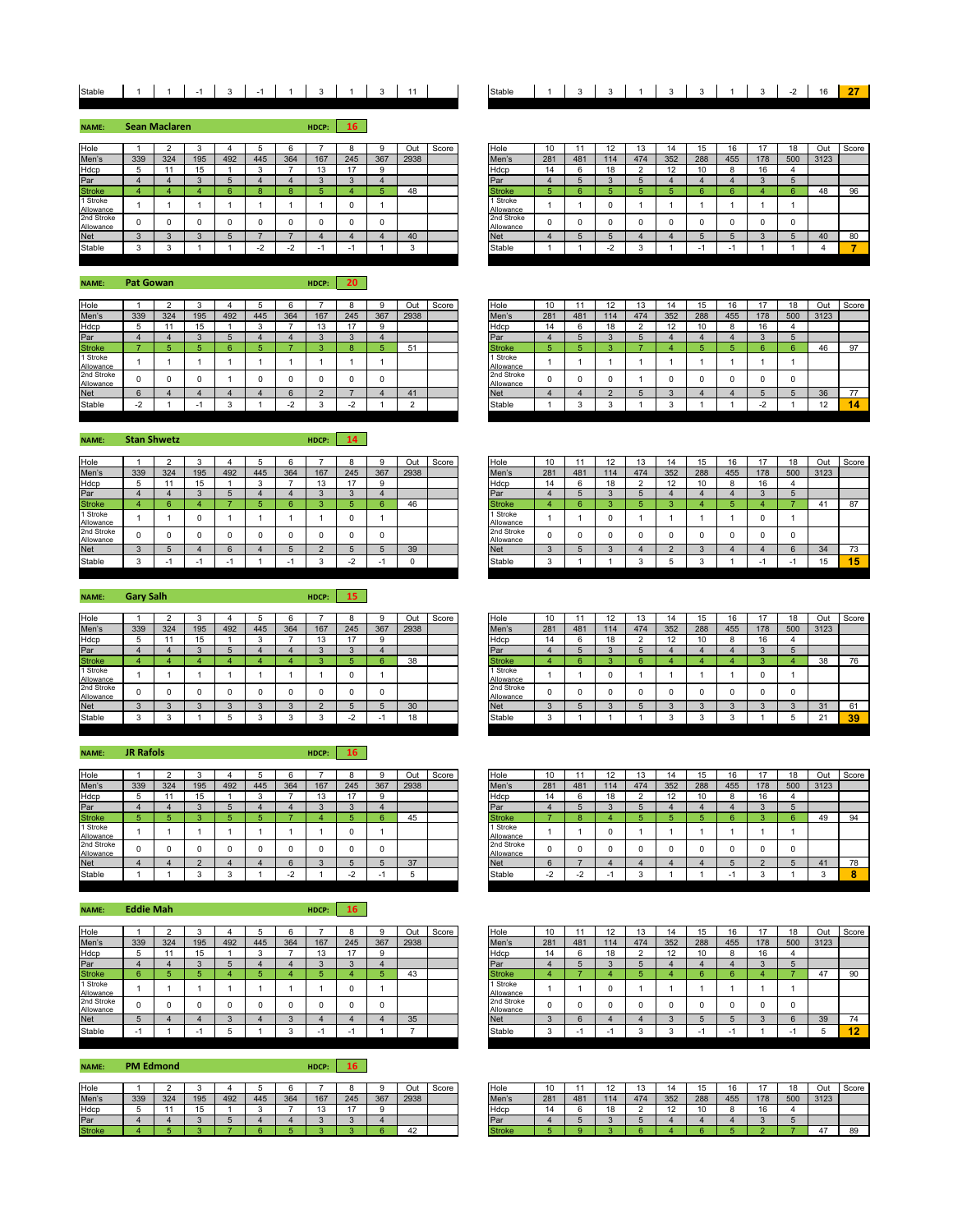## Stable 1 1 1 -1 3 -1 1 3 1 3 1 3 1 1 3

**NAME: HDCP: 16 Sean Maclaren**

| Hole                    |     |     |     |     |     |        |     |     |     | Out  | Score | Hole                    | 10  |     |     | 13  |     | ıэ  | 16                       |     |     | Out  | Sco |
|-------------------------|-----|-----|-----|-----|-----|--------|-----|-----|-----|------|-------|-------------------------|-----|-----|-----|-----|-----|-----|--------------------------|-----|-----|------|-----|
| Men's                   | 339 | 324 | 195 | 492 | 445 | 364    | 167 | 245 | 367 | 2938 |       | Men's                   | 281 | 481 | 114 | 474 | 352 | 288 | 455                      | 178 | 500 | 3123 |     |
| Hdcp                    |     |     |     |     |     |        |     |     |     |      |       | Hdcp                    | 14  |     |     |     |     | 10  |                          |     |     |      |     |
| Par                     |     |     |     |     |     |        |     |     |     |      |       | Par                     |     |     |     |     |     |     |                          |     |     |      |     |
| <b>Stroke</b>           |     |     |     |     |     |        |     |     |     | 48   |       | <b>Stroke</b>           |     |     |     |     |     |     |                          |     |     |      | 96  |
| 1 Stroke<br>Allowance   |     |     |     |     |     |        |     |     |     |      |       | 1 Stroke<br>Allowance   |     |     |     |     |     |     |                          |     |     |      |     |
| 2nd Stroke<br>Allowance |     |     |     |     |     |        |     |     |     |      |       | 2nd Stroke<br>Allowance |     |     |     |     |     |     |                          |     |     |      |     |
| <b>Net</b>              |     |     |     |     |     |        |     |     |     | 40   |       | <b>Net</b>              |     |     |     |     |     |     |                          |     |     |      | 80  |
| Stable                  |     |     |     |     |     | $\sim$ |     |     |     |      |       | Stable                  |     |     |     |     |     |     | $\overline{\phantom{a}}$ |     |     |      |     |

**NAME: HDCP: 20 Pat Gowan**

| Hole                    |     |     |     |     |     |     |     |        |     | Out  | Score | Hole                    | 10<br>ιv |     |     |     |     | 15  | 16  |     | 18  | Out  |
|-------------------------|-----|-----|-----|-----|-----|-----|-----|--------|-----|------|-------|-------------------------|----------|-----|-----|-----|-----|-----|-----|-----|-----|------|
| Men's                   | 339 | 324 | 195 | 492 | 445 | 364 | 167 | 245    | 367 | 2938 |       | Men's                   | 281      | 481 | 114 | 474 | 352 | 288 | 455 | 178 | 500 | 3123 |
| Hdcp                    |     |     | 15  |     |     |     | 13  |        |     |      |       | Hdcp                    | 14       |     |     |     |     | 10  |     | 16  |     |      |
| Par                     |     |     |     |     |     |     |     |        |     |      |       | Par                     |          |     |     |     |     |     |     |     |     |      |
| <b>Stroke</b>           |     |     |     |     |     |     |     | $\sim$ |     | 51   |       | <b>Stroke</b>           |          |     |     |     |     |     |     |     |     | 46   |
| 1 Stroke<br>Allowance   |     |     |     |     |     |     |     |        |     |      |       | 1 Stroke<br>Allowance   |          |     |     |     |     |     |     |     |     |      |
| 2nd Stroke<br>Allowance |     |     |     |     |     |     | 0   |        |     |      |       | 2nd Stroke<br>Allowance |          |     |     |     |     |     |     |     |     |      |
| <b>Net</b>              |     |     |     |     |     |     |     |        |     |      |       | <b>Net</b>              |          |     |     |     |     |     |     |     |     | 36   |
| Stable                  | . . |     |     |     |     |     |     |        |     |      |       | Stable                  |          |     |     |     |     |     |     | -   |     | 12   |
|                         |     |     |     |     |     |     |     |        |     |      |       |                         |          |     |     |     |     |     |     |     |     |      |

**NAME: Stan Shwetz HDCP: 14** 

| Hole                    |     |     |     |     |     |     |     |     |     | Out  | Score | Hole                             | 10  |     | $\overline{a}$<br><u>، ۱</u> | טו  |                | 15  | 16  |     | 18  | Out  |
|-------------------------|-----|-----|-----|-----|-----|-----|-----|-----|-----|------|-------|----------------------------------|-----|-----|------------------------------|-----|----------------|-----|-----|-----|-----|------|
| Men's                   | 339 | 324 | 195 | 492 | 445 | 364 | 167 | 245 | 367 | 2938 |       | Men's                            | 281 | 481 | 114                          | 474 | 352            | 288 | 455 | 178 | 500 | 3123 |
| Hdcp                    |     |     | 15  |     |     |     | 13  |     |     |      |       | Hdcp                             | 14  |     | 18                           |     | $\overline{A}$ | 10  |     | 16  |     |      |
| Par                     |     |     |     |     |     |     |     |     |     |      |       | Par                              |     |     |                              |     |                |     |     |     |     |      |
| <b>Stroke</b>           |     |     |     |     |     |     |     |     |     | 46   |       | <b>Stroke</b>                    |     |     |                              |     |                |     |     |     |     | 41   |
| Stroke<br>Allowance     |     |     |     |     |     |     |     |     |     |      |       | <sup>1</sup> Stroke<br>Allowance |     |     |                              |     |                |     |     |     |     |      |
| 2nd Stroke<br>Allowance |     |     |     |     |     |     |     |     |     |      |       | 2nd Stroke<br>Allowance          |     |     |                              |     |                |     |     |     |     |      |
| Net                     |     |     |     |     |     |     |     |     |     | 39   |       | <b>Net</b>                       |     |     |                              |     |                |     |     |     |     | 34   |
| Stable                  |     |     |     |     |     |     |     |     |     |      |       | Stable                           |     |     |                              |     |                |     |     |     |     | 15   |

**NAME: HDCP: 15 Gary Salh**

| Hole                    |     |     |          |     |     |     |     |     |     | Out  | Score | Hole                    | 10  |     | $\cdot$ |     |     | 15  | 16  |     | 18  | Out  |
|-------------------------|-----|-----|----------|-----|-----|-----|-----|-----|-----|------|-------|-------------------------|-----|-----|---------|-----|-----|-----|-----|-----|-----|------|
| Men's                   | 339 | 324 | 195      | 492 | 445 | 364 | 167 | 245 | 367 | 2938 |       | Men's                   | 281 | 481 | 114     | 474 | 352 | 288 | 455 | 178 | 500 | 3123 |
| Hdcp                    |     |     | 15<br>IJ |     |     |     | 13  |     | 9   |      |       | Hdcp                    | 14  |     | 18      |     |     | 10  |     | 16  |     |      |
| Par                     |     |     |          |     |     |     |     |     |     |      |       | Par                     |     |     |         |     |     |     |     |     |     |      |
| <b>Stroke</b>           |     |     |          |     |     |     |     |     |     | 38   |       | Stroke                  |     |     |         |     |     |     |     |     |     | -38  |
| 1 Stroke<br>Allowance   |     |     |          |     |     |     |     |     |     |      |       | Stroke<br>Allowance     |     |     |         |     |     |     |     |     |     |      |
| 2nd Stroke<br>Allowance |     |     |          |     |     |     |     |     | O   |      |       | 2nd Stroke<br>Allowance |     |     |         |     |     |     |     |     |     |      |
| <b>Net</b>              |     |     |          |     |     |     |     |     |     | 30   |       | <b>Net</b>              |     |     |         |     |     |     |     |     |     | 31   |
| Stable                  |     |     |          |     |     |     |     |     |     | 18   |       | Stable                  | ×   |     |         |     |     |     |     |     |     | 21   |

| <b>NAME:</b>            | <b>JR Rafols</b> |     |     |     |        |              | HDCP: | <b>16</b>      |     |      |       |               |                         |                |                |        |               |     |     |     |                |          |        |     |
|-------------------------|------------------|-----|-----|-----|--------|--------------|-------|----------------|-----|------|-------|---------------|-------------------------|----------------|----------------|--------|---------------|-----|-----|-----|----------------|----------|--------|-----|
| Hole                    |                  |     |     |     |        | 6            |       | 8              |     | Out  | Score | Hole          |                         | 10             | $\overline{A}$ | 12     | 13            | 14  | 15  | 16  | $\overline{A}$ | 18       | Out    | Scc |
| Men's                   | 339              | 324 | 195 | 492 | 445    | 364          | 167   | 245            | 367 | 2938 |       | Men's         |                         | 281            | 481            | 114    | 474           | 352 | 288 | 455 | 178            | 500      | 3123   |     |
| Hdcp                    |                  |     | 15  |     | $\sim$ |              | 13    | 17             | 9   |      |       | Hdcp          |                         | 14             | 6              | 18     | $\sim$        | 12  | 10  |     | 16             |          |        |     |
| Par                     |                  |     |     |     |        |              |       | $\Omega$       |     |      |       | Par           |                         |                |                | $\sim$ | 5             |     |     |     |                | 5        |        |     |
| <b>Stroke</b>           |                  |     |     |     |        |              |       |                |     | 45   |       | <b>Stroke</b> |                         |                |                |        | 5             |     |     |     |                |          | 49     | 94  |
| 1 Stroke<br>Allowance   |                  |     |     |     |        |              |       | 0              |     |      |       |               | 1 Stroke<br>Allowance   |                |                |        |               |     |     |     |                |          |        |     |
| 2nd Stroke<br>Allowance |                  |     |     |     |        | 0            |       | $\Omega$       |     |      |       |               | 2nd Stroke<br>Allowance | $\Omega$       |                |        | $\Omega$      |     |     |     |                | $\Omega$ |        |     |
| <b>Net</b>              |                  |     |     |     |        | 6            |       |                |     | 37   |       | <b>Net</b>    |                         | h              |                |        |               |     |     |     |                |          | 41     | 78  |
| Stable                  |                  |     |     |     |        | $\sim$<br>-4 |       | $\sim$<br>$-2$ |     |      |       | Stable        |                         | $\sim$<br>$-2$ | -2             | ÷      | $\sim$<br>- 1 |     |     | . . |                |          | $\sim$ |     |

**NAME: HDCP: 16 Eddie Mah**

| Hole                    |                      |     |     |     |              |     |     |        |     | Out  | Score | Hole                    | 10  |     | 12  |     |     |     |     |     |                 | Out  | Sco |
|-------------------------|----------------------|-----|-----|-----|--------------|-----|-----|--------|-----|------|-------|-------------------------|-----|-----|-----|-----|-----|-----|-----|-----|-----------------|------|-----|
| Men's                   | 339                  | 324 | 195 | 492 | 445          | 364 | 167 | 245    | 367 | 2938 |       | Men's                   | 281 | 481 | 114 | 474 | 352 | 288 | 455 | 178 | 500             | 3123 |     |
| Hdcp                    | $\ddot{\phantom{1}}$ |     | 15  |     | c<br>$\cdot$ |     | ιJ  |        |     |      |       | Hdcp                    | 14  | b   | 18  |     |     | 10  |     | 16  |                 |      |     |
| Par                     |                      |     |     |     |              |     |     | $\sim$ |     |      |       | Par                     |     |     |     |     |     |     |     |     | ×.              |      |     |
| <b>Stroke</b>           |                      |     |     |     |              |     |     |        |     | 43   |       | <b>Stroke</b>           |     |     |     |     |     |     |     |     |                 |      | 90  |
| 1 Stroke<br>Allowance   |                      |     |     |     |              |     |     | 0      |     |      |       | 1 Stroke<br>Allowance   |     |     |     |     |     |     |     |     |                 |      |     |
| 2nd Stroke<br>Allowance |                      |     |     |     |              |     |     |        |     |      |       | 2nd Stroke<br>Allowance |     |     |     |     |     |     |     |     | C               |      |     |
| <b>Net</b>              |                      |     |     |     |              |     |     |        |     | 35   |       | <b>Net</b>              |     | n   |     |     |     |     |     |     | $\sqrt{2}$<br>n | 39   | 74  |
| Stable                  |                      |     |     |     |              |     |     |        |     |      |       | Stable                  |     |     |     |     |     |     | ٠   |     |                 |      | -46 |

**NAME: HDCP: 16 PM Edmond**

| Hole  |     |     |     |     |     |     |     |     |     | Dul  | Score | Hole | 10  |     | $\overline{\phantom{a}}$ |     |     |     |     |     | $\overline{a}$<br>ם ו | Out            |
|-------|-----|-----|-----|-----|-----|-----|-----|-----|-----|------|-------|------|-----|-----|--------------------------|-----|-----|-----|-----|-----|-----------------------|----------------|
| Men's | 339 | 324 | 195 | 492 | 445 | 364 | 167 | 245 | 367 | 2938 |       |      | 281 | 481 | 114                      | A74 | 352 | 288 | 455 | 178 | 500                   | 3123           |
| Hdcp  |     |     |     |     |     |     |     |     |     |      |       | Hdcı |     |     | $\overline{a}$           |     |     |     |     | 16  |                       |                |
|       |     |     |     |     |     |     |     |     |     |      |       |      |     |     |                          |     |     |     |     |     |                       |                |
|       |     |     |     |     |     |     |     |     |     |      |       |      |     |     |                          |     |     |     |     |     |                       | $\overline{1}$ |

| table |  |  |  |  |  |  |  |  | - -<br>- | $\sim$<br>ັ | -- |
|-------|--|--|--|--|--|--|--|--|----------|-------------|----|
|-------|--|--|--|--|--|--|--|--|----------|-------------|----|

| Hole                    |        |        |        |     |     |                          |                          |     |          | Out  | Score | Hole                    | 10  |     |        | כ ו |     | 15  | 10  |     | 18  | Out  | Score |
|-------------------------|--------|--------|--------|-----|-----|--------------------------|--------------------------|-----|----------|------|-------|-------------------------|-----|-----|--------|-----|-----|-----|-----|-----|-----|------|-------|
| Men's                   | 339    | 324    | 195    | 492 | 445 | 364                      | 167                      | 245 | 367      | 2938 |       | Men's                   | 281 | 481 | 114    | 474 | 352 | 288 | 455 | 178 | 500 | 3123 |       |
| Hdcp                    |        |        |        |     |     |                          | $\overline{a}$           |     | $\Omega$ |      |       | Hdcp                    | 14  |     |        |     |     | 10  |     | 16  |     |      |       |
| Par                     |        |        | $\sim$ |     |     |                          |                          |     |          |      |       | Par                     |     |     | $\sim$ |     |     |     |     |     |     |      |       |
| <b>Stroke</b>           |        |        |        |     |     |                          |                          |     |          | 48   |       | Stroke                  |     |     |        |     |     |     |     |     |     | 48   | 96    |
| 1 Stroke<br>Allowance   |        |        |        |     |     |                          |                          |     |          |      |       | 1 Stroke<br>Allowance   |     |     | u      |     |     |     |     |     |     |      |       |
| 2nd Stroke<br>Allowance |        |        |        |     |     |                          |                          |     |          |      |       | 2nd Stroke<br>Allowance |     |     |        |     |     |     |     |     |     |      |       |
| <b>Net</b>              | $\sim$ | $\sim$ | $\sim$ |     |     |                          |                          |     |          | 40   |       | <b>Net</b>              |     |     |        |     |     |     |     |     |     | 40   | 80    |
| Stable                  | $\sim$ |        |        |     |     | $\overline{\phantom{a}}$ | $\overline{\phantom{0}}$ |     |          |      |       | Stable                  |     |     | -2     |     |     |     |     |     |     |      |       |
|                         |        |        |        |     |     |                          |                          |     |          |      |       |                         |     |     |        |     |     |     |     |     |     |      |       |

| Hole                    |        |     |     |     |     |                          |     |     |     | Out  | Score | Hole                    | 10  |     |     | 13  |     | 15  | 16  | 17  | 18  | Out      | Score |
|-------------------------|--------|-----|-----|-----|-----|--------------------------|-----|-----|-----|------|-------|-------------------------|-----|-----|-----|-----|-----|-----|-----|-----|-----|----------|-------|
| Men's                   | 339    | 324 | 195 | 492 | 445 | 364                      | 167 | 245 | 367 | 2938 |       | Men's                   | 281 | 481 | 114 | 474 | 352 | 288 | 455 | 178 | 500 | 3123     |       |
| Hdcp                    |        |     |     |     |     |                          | ن ا |     |     |      |       | Hdcp                    | 14  |     |     |     | L   | 10  |     | 16  |     |          |       |
| Par                     |        |     |     |     |     |                          |     |     |     |      |       | Par                     |     |     |     |     |     |     |     |     |     |          |       |
| <b>Stroke</b>           |        |     |     |     |     |                          |     |     |     | 51   |       | <b>Stroke</b>           |     |     |     |     |     |     |     |     |     | 46       | 97    |
| 1 Stroke<br>Allowance   |        |     |     |     |     |                          |     |     |     |      |       | 1 Stroke<br>Allowance   |     |     |     |     |     |     |     |     |     |          |       |
| 2nd Stroke<br>Allowance |        |     |     |     |     |                          |     |     |     |      |       | 2nd Stroke<br>Allowance |     |     |     |     |     |     |     |     |     |          |       |
| <b>Net</b>              |        |     |     |     |     |                          |     |     |     | 41   |       | <b>Net</b>              |     |     |     |     |     |     |     |     |     | 36       | 77    |
| Stable                  | $\sim$ |     |     |     |     | $\overline{\phantom{a}}$ |     |     |     |      |       | Stable                  |     |     |     |     |     |     |     |     |     | 12<br>ız |       |
|                         |        |     |     |     |     |                          |     |     |     |      |       |                         |     |     |     |     |     |     |     |     |     |          |       |

| Hole                    |     |     |     |     |     |     |     |     |     | Out  | Score | Hole                    | 10         |     | 12  | $\sim$<br>10 | 14  | 15  | 16  |     | 18  | Out  | Score |
|-------------------------|-----|-----|-----|-----|-----|-----|-----|-----|-----|------|-------|-------------------------|------------|-----|-----|--------------|-----|-----|-----|-----|-----|------|-------|
| Men's                   | 339 | 324 | 195 | 492 | 445 | 364 | 167 | 245 | 367 | 2938 |       | Men's                   | 281        | 481 | 114 | 474          | 352 | 288 | 455 | 178 | 500 | 3123 |       |
| Hdcp                    |     |     | ιυ  |     |     |     |     |     |     |      |       | Hdcp                    | 14         | 6   | 18  |              | 12  | 10  | ਨ   | 16  |     |      |       |
| Par                     |     |     |     |     |     |     |     |     |     |      |       | Par                     |            |     |     |              |     |     |     |     |     |      |       |
| <b>Stroke</b>           |     |     |     |     |     |     |     |     |     | 46   |       | <b>Stroke</b>           |            |     |     |              |     |     |     |     |     | 4    | 87    |
| 1 Stroke<br>Allowance   |     |     |     |     |     |     |     |     |     |      |       | 1 Stroke<br>Allowance   |            |     |     |              |     |     |     |     |     |      |       |
| 2nd Stroke<br>Allowance |     |     |     |     |     |     |     | ſ   |     |      |       | 2nd Stroke<br>Allowance | O          | n   |     |              |     |     | n   |     |     |      |       |
| Net                     |     |     |     |     |     |     |     |     |     | 39   |       | <b>Net</b>              | ×          |     |     |              |     |     |     |     |     | 34   | 73    |
| Stable                  |     |     |     |     |     |     |     | . . |     |      |       | Stable                  | $\sqrt{2}$ |     |     |              |     |     |     | . . |     | 15   | 15    |
|                         |     |     |     |     |     |     |     |     |     |      |       |                         |            |     |     |              |     |     |     |     |     |      |       |

| Hole                    |     |     |     |     |     |     |     |     |          | Out  | Score | Hole                    | 10           |     | 12  | 13  | 14  | 15  |     |          | 18  | Out  | Score |
|-------------------------|-----|-----|-----|-----|-----|-----|-----|-----|----------|------|-------|-------------------------|--------------|-----|-----|-----|-----|-----|-----|----------|-----|------|-------|
| Men's                   | 339 | 324 | 195 | 492 | 445 | 364 | 167 | 245 | 367      | 2938 |       | Men's                   | 281          | 481 | 114 | 474 | 352 | 288 | 455 | 178      | 500 | 3123 |       |
| Hdcp                    |     |     |     |     |     |     | IJ  |     | 9        |      |       | Hdcp                    | 14           |     | 18  |     | 12  |     |     | 16       |     |      |       |
| Par                     |     |     |     |     |     |     |     |     |          |      |       | Par                     |              |     |     |     |     |     |     |          |     |      |       |
| <b>Stroke</b>           |     |     |     |     |     |     |     |     |          | 38   |       | <b>Stroke</b>           |              |     |     |     |     |     |     |          |     | 38   | 76    |
| 1 Stroke<br>Allowance   |     |     |     |     |     |     |     |     |          |      |       | 1 Stroke<br>Allowance   |              |     |     |     |     |     |     | $\Omega$ |     |      |       |
| 2nd Stroke<br>Allowance |     | 0   |     |     |     |     |     |     | $\Omega$ |      |       | 2nd Stroke<br>Allowance | $\Omega$     |     |     |     |     |     |     | n        |     |      |       |
| Net                     |     |     |     |     |     |     |     |     |          | 30   |       | <b>Net</b>              |              |     |     |     |     |     |     |          |     | 31   | 61    |
| Stable                  |     |     |     |     |     |     |     |     |          | 18   |       | Stable                  | $\sim$<br>ъ. |     |     |     |     |     |     |          |     | 21   | 39    |
|                         |     |     |     |     |     |     |     |     |          |      |       |                         |              |     |     |     |     |     |     |          |     |      |       |

| Hole                    |               |     |        |     |     |     |               |     |     | Out  | Score | Hole                    | 10                |     | 12<br>٠ | 13  | 14                | 15  | 16  |     | 18  | Out  | Score |
|-------------------------|---------------|-----|--------|-----|-----|-----|---------------|-----|-----|------|-------|-------------------------|-------------------|-----|---------|-----|-------------------|-----|-----|-----|-----|------|-------|
| Men's                   | 339           | 324 | 195    | 492 | 445 | 364 | 167           | 245 | 367 | 2938 |       | Men's                   | 281               | 481 | 114     | 474 | 352               | 288 | 455 | 178 | 500 | 3123 |       |
| Hdcp                    | $\rightarrow$ |     | 15     |     |     |     | $\sim$<br>ט ו |     |     |      |       | Hdcp                    | 14                |     | 18      |     | $\sqrt{2}$<br>14. | 10  |     | ı.  |     |      |       |
| Par                     |               |     | $\sim$ |     |     |     |               |     |     |      |       | Par                     |                   |     | $\sim$  |     |                   |     |     |     |     |      |       |
| <b>Stroke</b>           |               |     |        |     |     |     |               |     |     | 45   |       | <b>Stroke</b>           |                   |     |         |     |                   |     |     |     |     | 49   | 94    |
| 1 Stroke<br>Allowance   |               |     |        |     |     |     |               |     |     |      |       | 1 Stroke<br>Allowance   |                   |     |         |     |                   |     |     |     |     |      |       |
| 2nd Stroke<br>Allowance |               |     |        |     |     |     |               |     |     |      |       | 2nd Stroke<br>Allowance | $\Omega$          |     |         |     |                   |     |     |     |     |      |       |
| Net                     |               |     | $\sim$ |     |     |     |               |     |     | 37   |       | <b>Net</b>              | $\sim$<br>$\circ$ |     |         |     |                   |     |     |     |     | 41   | 78    |
| Stable                  |               |     |        |     |     |     |               |     |     |      |       | Stable                  | $\sim$<br>$-4$    |     |         |     |                   |     |     |     |     |      |       |
|                         |               |     |        |     |     |     |               |     |     |      |       |                         |                   |     |         |     |                   |     |     |     |     |      |       |

| Hole                    |     |     |     |     |     |     |     |     |     | Out  | Score | Hole                    | 10  |     | 12  |     | 14  | 15  |     |     |          | Out  | Score |
|-------------------------|-----|-----|-----|-----|-----|-----|-----|-----|-----|------|-------|-------------------------|-----|-----|-----|-----|-----|-----|-----|-----|----------|------|-------|
| Men's                   | 339 | 324 | 195 | 492 | 445 | 364 | 167 | 245 | 367 | 2938 |       | Men's                   | 281 | 481 | 114 | 474 | 352 | 288 | 455 | 178 | 500      | 3123 |       |
| Hdcp                    | Ð   |     | ιυ  |     |     |     |     |     |     |      |       | Hdcp                    | 14  |     | 18  |     | 12  | 10  |     |     |          |      |       |
| Par                     |     |     |     |     |     |     |     |     |     |      |       | Par                     |     |     |     |     |     |     |     |     |          |      |       |
| <b>Stroke</b>           |     |     |     |     |     |     |     |     |     | 43   |       | <b>Stroke</b>           |     |     |     |     |     |     |     |     |          | 47   | 90    |
| 1 Stroke<br>Allowance   |     |     |     |     |     |     |     |     |     |      |       | 1 Stroke<br>Allowance   |     |     |     |     |     |     |     |     |          |      |       |
| 2nd Stroke<br>Allowance |     |     |     |     |     |     |     |     |     |      |       | 2nd Stroke<br>Allowance |     |     |     |     |     |     |     |     | $\Omega$ |      |       |
| Net                     |     |     |     |     |     |     |     |     |     | 35   |       | <b>Net</b>              |     |     |     |     |     |     |     |     |          | 39   | 74    |
| Stable                  |     |     |     |     |     |     |     |     |     |      |       | Stable                  |     |     |     |     |     |     |     |     |          |      | 12    |

| Hole          |     |     |     |     |     |     |     |     |     | Out  | Score | Hole  | w   |     | $\overline{a}$<br>. . | $\sqrt{2}$ |     |     |     |                                 | 18  | Out  | Score |
|---------------|-----|-----|-----|-----|-----|-----|-----|-----|-----|------|-------|-------|-----|-----|-----------------------|------------|-----|-----|-----|---------------------------------|-----|------|-------|
| Men's         | 339 | 324 | 195 | 492 | 445 | 364 | 167 | 245 | 367 | 2938 |       | Men's | 281 | 481 | 114                   | 474        | 352 | 288 | 455 | 178                             | 500 | 3123 |       |
| Hdcp          |     |     |     |     |     |     |     |     |     |      |       | Hdcr  |     |     | 18                    |            |     |     |     | $\overline{\phantom{a}}$<br>16. |     |      |       |
|               |     |     |     |     |     |     |     |     |     |      |       |       |     |     |                       |            |     |     |     |                                 |     |      |       |
| <b>Stroke</b> |     |     |     |     |     |     |     |     |     |      |       | эпоке |     |     |                       |            |     |     |     |                                 |     |      |       |
|               |     |     |     |     |     |     |     |     |     |      |       |       |     |     |                       |            |     |     |     |                                 |     |      |       |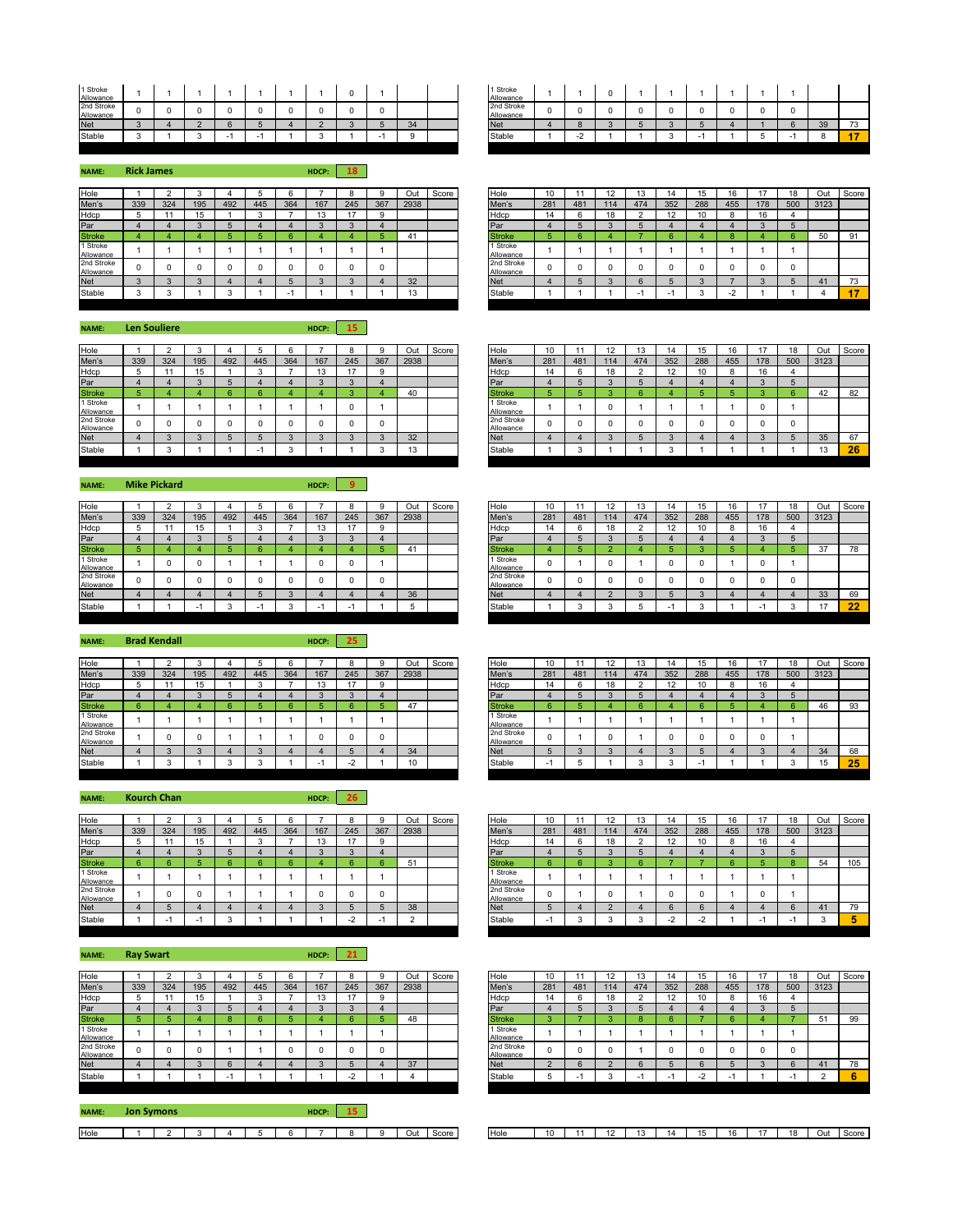| 1 Stroke<br>Allowance   |  |  |  |  |          |  | 1 Stroke<br>Allowance   |  |  |  |  |   |    |      |
|-------------------------|--|--|--|--|----------|--|-------------------------|--|--|--|--|---|----|------|
| 2nd Stroke<br>Allowance |  |  |  |  |          |  | 2nd Stroke<br>Allowance |  |  |  |  | n |    |      |
| <b>Net</b>              |  |  |  |  | 2A<br>◡+ |  | <b>Net</b>              |  |  |  |  |   | ಀಀ | 73   |
| Stable                  |  |  |  |  |          |  | Stable                  |  |  |  |  |   |    | - 11 |

| 1 Stroke<br>Allowance   |  |  |  |  |   |         |            | 1 Stroke<br>Allowance   |  |  |  |  |    |     |
|-------------------------|--|--|--|--|---|---------|------------|-------------------------|--|--|--|--|----|-----|
| 2nd Stroke<br>Allowance |  |  |  |  | 0 |         |            | 2nd Stroke<br>Allowance |  |  |  |  |    |     |
| <b>Net</b>              |  |  |  |  |   | 31<br>◡ | <b>Net</b> |                         |  |  |  |  | 39 | ں ، |
| Stable                  |  |  |  |  |   |         | Stable     |                         |  |  |  |  |    |     |

**NAME: HDCP: 18 Rick James** Hdcp 5 11 15 1 3 7 13 17 9 Hdcp 14 6 18 2 12 10 8 16 4 Par 4 4 3 5 4 4 3 3 4 Par 4 5 3 5 4 4 4 3 5 **Stroke** Allowance <sup>1</sup> <sup>1</sup> <sup>1</sup> <sup>1</sup> <sup>1</sup> <sup>1</sup> <sup>1</sup> <sup>1</sup> <sup>1</sup> 1 Stroke nd Strok Allowance <sup>0</sup> <sup>0</sup> <sup>0</sup> <sup>0</sup> <sup>0</sup> <sup>0</sup> <sup>0</sup> <sup>0</sup> <sup>0</sup> 2nd Stroke

**NAME: HDCP: 15 Len Souliere**

| Hole                    |     |     |     |     |     |     |              |                |     | Out  | Score | Hole                    | 10  |     |     |     |     | 15  | 16  |     | 18  | Out  |
|-------------------------|-----|-----|-----|-----|-----|-----|--------------|----------------|-----|------|-------|-------------------------|-----|-----|-----|-----|-----|-----|-----|-----|-----|------|
| Men's                   | 339 | 324 | 195 | 492 | 445 | 364 | 167          | 245            | 367 | 2938 |       | Men's                   | 281 | 481 | 114 | 474 | 352 | 288 | 455 | 178 | 500 | 3123 |
| Hdcp                    |     |     | 15  |     | - 1 |     | $\sim$<br>10 | $\overline{a}$ |     |      |       | Hdcp                    | 14  |     |     |     |     | 10  |     | 16  |     |      |
| Par                     |     |     |     |     |     |     |              |                |     |      |       | Par                     |     |     |     |     |     |     |     |     |     |      |
| <b>Stroke</b>           |     |     |     |     |     |     |              |                |     | 40   |       | <b>Stroke</b>           |     |     |     |     |     |     |     |     |     | 42   |
| 1 Stroke<br>Allowance   |     |     |     |     |     |     |              |                |     |      |       | Stroke<br>Allowance     |     |     |     |     |     |     |     |     |     |      |
| 2nd Stroke<br>Allowance |     |     |     |     |     |     |              |                |     |      |       | 2nd Stroke<br>Allowance |     |     |     |     |     |     |     |     |     |      |
| <b>Net</b>              |     |     |     |     |     |     |              |                |     | 32   |       | <b>Net</b>              |     |     |     |     |     |     |     |     |     | 35   |
| Stable                  |     |     |     |     |     |     |              |                |     | .    |       | Stable                  |     |     |     |     |     |     |     |     |     | 13   |

**NAME: HDCP: 9 Mike Pickard**

| Hole                    |     |     |     |     |     |     |     |     | ົ        | Out  | Score | Hole                    | 10  |     | $\overline{A}$<br>L. |     |     | 15  | 16  |     | 18  | Out  |
|-------------------------|-----|-----|-----|-----|-----|-----|-----|-----|----------|------|-------|-------------------------|-----|-----|----------------------|-----|-----|-----|-----|-----|-----|------|
| Men's                   | 339 | 324 | 195 | 492 | 445 | 364 | 167 | 245 | 367      | 2938 |       | Men's                   | 281 | 481 | 14                   | 474 | 352 | 288 | 455 | 178 | 500 | 3123 |
| Hdcp                    |     |     | ь.  |     |     |     | 13  |     | g        |      |       | Hdcp                    | 14  |     | 18                   |     |     | 10  |     | 16  |     |      |
| Par                     |     |     |     |     |     |     |     |     |          |      |       | Par                     |     |     |                      |     |     |     |     |     |     |      |
| <b>Stroke</b>           |     |     |     |     |     |     |     |     |          |      |       | <b>Stroke</b>           |     |     |                      |     |     |     |     |     |     | 37   |
| 1 Stroke<br>Allowance   |     |     |     |     |     |     |     |     |          |      |       | 1 Stroke<br>Allowance   |     |     |                      |     |     |     |     |     |     |      |
| 2nd Stroke<br>Allowance |     |     |     |     |     |     |     |     | $\Omega$ |      |       | 2nd Stroke<br>Allowance |     |     |                      |     |     |     |     |     |     |      |
| <b>Net</b>              |     |     |     |     |     |     |     |     |          | 36   |       | <b>Net</b>              |     |     |                      |     |     |     |     |     |     | 33   |
| Stable                  |     |     |     |     |     |     |     |     |          |      |       | Stable                  |     |     |                      |     |     |     |     | -   |     | 17   |

**NAME: HDCP: 25 Brad Kendall**

| Hole                    |     |     |            |     |     |     |     |     | о   | Out  | Score | Hole                    | 10   |     | ۰,  |     |     | 15  | 16  |     | 18  | Out  |
|-------------------------|-----|-----|------------|-----|-----|-----|-----|-----|-----|------|-------|-------------------------|------|-----|-----|-----|-----|-----|-----|-----|-----|------|
| Men's                   | 339 | 324 | 195        | 492 | 445 | 364 | 167 | 245 | 367 | 2938 |       | Men's                   | 281  | 481 | 114 | 474 | 352 | 288 | 455 | 178 | 500 | 3123 |
| Hdcp                    |     |     | 15<br>כ: ו |     |     |     | 13  |     | 9   |      |       | Hdcp                    | 14   |     | 40  |     |     | 10  |     | 16  |     |      |
| Par                     |     |     |            |     |     |     |     |     |     |      |       | Par                     |      |     |     |     |     |     |     |     |     |      |
| <b>Stroke</b>           |     |     |            |     |     |     |     |     |     | 47   |       | <b>Stroke</b>           |      |     |     |     |     |     |     |     |     | 46   |
| 1 Stroke<br>Allowance   |     |     |            |     |     |     |     |     |     |      |       | Stroke<br>Allowance     |      |     |     |     |     |     |     |     |     |      |
| 2nd Stroke<br>Allowance |     |     |            |     |     |     |     |     |     |      |       | 2nd Stroke<br>Allowance |      |     |     |     |     |     |     |     |     |      |
| <b>Net</b>              |     |     |            |     |     |     |     |     |     | 34   |       | <b>Net</b>              | - 12 |     |     |     |     |     |     |     |     | 34   |
| Stable                  |     |     |            |     |     |     |     |     |     | 10   |       | Stable                  |      |     |     |     |     |     |     |     |     | 15   |

| <b>NAME:</b>            |     | <b>Kourch Chan</b> |           |     |               |     | HDCP:        | 26           |          |      |       |                         |           |          |           |     |           |                |     |           |     |      |
|-------------------------|-----|--------------------|-----------|-----|---------------|-----|--------------|--------------|----------|------|-------|-------------------------|-----------|----------|-----------|-----|-----------|----------------|-----|-----------|-----|------|
| Hole                    |     |                    |           |     |               |     |              | c            | g        | Jut  | Score | Hole                    | 10        |          | 12        | 13  | 14        | 15             | 16  | 17        | 18  | Out  |
| Men's<br>Hdcp           | 339 | 324                | 195<br>15 | 492 | 445<br>$\sim$ | 364 | 167<br>13    | 245<br>17    | 367<br>9 | 2938 |       | Men's<br>Hdcp           | 281<br>14 | 481<br>6 | 114<br>18 | 474 | 352<br>12 | 288<br>10      | 455 | 178<br>16 | 500 | 3123 |
| Par                     |     |                    | $\sim$    |     |               |     | $\mathbf{R}$ | $\mathbf{R}$ |          |      |       | Par                     |           |          |           |     |           |                |     |           |     |      |
| <b>Stroke</b>           | 6   |                    |           |     | 6             |     |              | 6            | 6        | 51   |       | <b>Stroke</b>           | 6.        | Բ        |           | 6   |           |                |     |           | ົ   | 54   |
| 1 Stroke<br>Allowance   |     |                    |           |     |               |     |              |              |          |      |       | 1 Stroke<br>Allowance   |           |          |           |     |           |                |     |           |     |      |
| 2nd Stroke<br>Allowance |     |                    |           |     |               |     | O            | υ            | O        |      |       | 2nd Stroke<br>Allowance | $\Omega$  |          |           |     |           |                |     |           |     |      |
| <b>Net</b>              |     |                    |           |     |               |     | 3            |              |          | 38   |       | <b>Net</b>              | b.        |          |           |     |           |                |     |           |     | 41   |
| Stable                  |     | ÷                  | шH        |     |               |     |              | ٠.           |          |      |       | Stable                  | - 1       | $\cdot$  |           |     | ົ<br>$-4$ | $\sim$<br>$-4$ |     |           | -   | 3    |

| <b>NAME:</b> | <b>Ray Swart</b> | HDCP: | 21 |
|--------------|------------------|-------|----|
|              |                  |       |    |

| Hole          |      |                |            |     |                 |                          |     |      |                | Out  |  |
|---------------|------|----------------|------------|-----|-----------------|--------------------------|-----|------|----------------|------|--|
| $1.4 - 1 - 1$ | 0.00 | 0 <sup>0</sup> | $\sqrt{2}$ | 100 | $\overline{11}$ | $\overline{\phantom{a}}$ | 407 | 0.45 | 0 <sup>0</sup> | 0000 |  |

| Men's                   | 339 | 324 | 195 | 492 | 445 | 364 | 167 | 245 | 367 | 2938 |  | Men's                   | 281 | 481 | 114 | 474 | 352 | 288 | 455 | 178          | 500 | 3123 |    |
|-------------------------|-----|-----|-----|-----|-----|-----|-----|-----|-----|------|--|-------------------------|-----|-----|-----|-----|-----|-----|-----|--------------|-----|------|----|
| Hdcp                    |     |     |     |     |     |     |     |     |     |      |  | Hdcp                    |     | n   | 18  |     | . . | 10  |     | $\sim$<br>ιU |     |      |    |
| Par                     |     |     |     |     |     |     |     |     |     |      |  | Par                     |     |     |     |     |     |     |     |              | w   |      |    |
| <b>Stroke</b>           |     |     |     |     |     |     |     |     |     | 48   |  | <b>Stroke</b>           |     |     |     |     |     |     |     |              |     |      | 99 |
| 1 Stroke<br>Allowance   |     |     |     |     |     |     |     |     |     |      |  | 1 Stroke<br>Allowance   |     |     |     |     |     |     |     |              |     |      |    |
| 2nd Stroke<br>Allowance |     |     |     |     |     |     |     | n   |     |      |  | 2nd Stroke<br>Allowance |     |     |     |     |     |     |     |              |     |      |    |
| <b>Net</b>              |     |     |     |     |     |     |     |     |     | 37   |  | <b>Net</b>              |     |     |     |     |     |     |     |              |     |      | 78 |
| Stable                  |     |     |     |     |     |     |     | -   |     |      |  | Stable                  |     |     |     |     |     | -   |     |              |     |      |    |
|                         |     |     |     |     |     |     |     |     |     |      |  |                         |     |     |     |     |     |     |     |              |     |      |    |

| <b>NAME:</b> | <b>Jon Symons</b> |        |                                |  |                          | HDCP: |          |   |     |       |
|--------------|-------------------|--------|--------------------------------|--|--------------------------|-------|----------|---|-----|-------|
| Hole         |                   | $\sim$ | $\overline{\phantom{a}}$<br>×. |  | $\overline{\phantom{0}}$ |       | $\Omega$ | 9 | Out | Score |

| Hole                    |     |     |     |     |     |     |     |     |     | Out          | Score | Hole                    | 10  |     | 12  | 13  |     |     |     |     | $\sim$<br>10 | Out  | Score |
|-------------------------|-----|-----|-----|-----|-----|-----|-----|-----|-----|--------------|-------|-------------------------|-----|-----|-----|-----|-----|-----|-----|-----|--------------|------|-------|
| Men's                   | 339 | 324 | 195 | 492 | 445 | 364 | 167 | 245 | 367 | 2938         |       | Men's                   | 281 | 481 | 114 | 474 | 352 | 288 | 455 | 178 | 500          | 3123 |       |
| Hdcp                    |     |     |     |     |     |     |     |     |     |              |       | Hdcp                    | 14  |     | 18  |     |     |     |     | 16  |              |      |       |
| Par                     |     |     |     |     |     |     |     |     |     |              |       | Par                     |     |     |     |     |     |     |     |     |              |      |       |
| <b>Stroke</b>           |     |     |     |     |     |     |     |     |     | 41           |       | Stroke                  |     |     |     |     |     |     |     |     |              | 50   | 91    |
| 1 Stroke<br>Allowance   |     |     |     |     |     |     |     |     |     |              |       | 1 Stroke<br>Allowance   |     |     |     |     |     |     |     |     |              |      |       |
| 2nd Stroke<br>Allowance |     |     |     |     |     |     |     |     |     |              |       | 2nd Stroke<br>Allowance |     |     |     |     |     |     |     |     | n            |      |       |
| <b>Net</b>              |     |     |     |     |     |     |     |     |     | 32           |       | <b>Net</b>              |     |     |     |     |     |     |     |     |              | 41   | 73    |
| Stable                  |     |     |     |     |     | -   |     |     |     | $\sim$<br>ںו |       | Stable                  |     |     |     |     |     |     |     |     |              |      | --    |
|                         |     |     |     |     |     |     |     |     |     |              |       |                         |     |     |     |     |     |     |     |     |              |      |       |

| Hole                    |                      |     |     |     |     |     |                      |     |     | Out  | Score | Hole                    | 10       |     |     | 13  | 14       | <b>15</b><br>w | 16  |     | 18  | Out  | Score |
|-------------------------|----------------------|-----|-----|-----|-----|-----|----------------------|-----|-----|------|-------|-------------------------|----------|-----|-----|-----|----------|----------------|-----|-----|-----|------|-------|
| Men's                   | 339                  | 324 | 195 | 492 | 445 | 364 | 167                  | 245 | 367 | 2938 |       | Men's                   | 281      | 481 | 114 | 474 | 352      | 288            | 455 | 178 | 500 | 3123 |       |
| Hdcp                    | $\ddot{\phantom{1}}$ |     | 15  |     |     |     | $\overline{a}$<br>10 |     |     |      |       | Hdcp                    | 14       |     | 18  |     | 12<br>14 | 10             |     |     |     |      |       |
| Par                     |                      |     |     |     |     |     |                      |     |     |      |       | Par                     |          |     |     |     |          |                |     |     |     |      |       |
| <b>Stroke</b>           |                      |     |     |     |     |     |                      |     |     | 40   |       | <b>Stroke</b>           |          |     |     |     |          |                |     |     |     | 42   | 82    |
| 1 Stroke<br>Allowance   |                      |     |     |     |     |     |                      |     |     |      |       | 1 Stroke<br>Allowance   |          |     |     |     |          |                |     |     |     |      |       |
| 2nd Stroke<br>Allowance |                      |     |     |     |     |     |                      |     |     |      |       | 2nd Stroke<br>Allowance | $\Omega$ |     |     |     |          |                |     |     |     |      |       |
| Net                     |                      |     |     |     |     |     |                      |     |     | 32   |       | <b>Net</b>              |          |     |     |     |          |                |     |     |     | 35   | 67    |
| Stable                  |                      |     |     |     | . . |     |                      |     |     |      |       | Stable                  |          |     |     |     |          |                |     |     |     | 13   | 26    |
|                         |                      |     |     |     |     |     |                      |     |     |      |       |                         |          |     |     |     |          |                |     |     |     |      |       |

| Hole                    |     |     |     |     |     |     |                          |     |     | Out          | Score | Hole                    | 10       |     |     | 13  | 14  | 13  | 16  |     | 18  | Out      | Score |
|-------------------------|-----|-----|-----|-----|-----|-----|--------------------------|-----|-----|--------------|-------|-------------------------|----------|-----|-----|-----|-----|-----|-----|-----|-----|----------|-------|
| Men's                   | 339 | 324 | 195 | 492 | 445 | 364 | 167                      | 245 | 367 | 2938         |       | Men's                   | 281      | 481 | 114 | 474 | 352 | 288 | 455 | 178 | 500 | 3123     |       |
| Hdcp                    |     |     |     |     |     |     | $\overline{a}$           |     |     |              |       | Hdcp                    | 14       |     | 18  |     | 12  | 10  |     |     |     |          |       |
| Par                     |     |     |     |     |     |     |                          |     |     |              |       | Par                     |          |     |     |     |     |     |     |     |     |          |       |
| <b>Stroke</b>           |     |     |     |     |     |     |                          |     |     | $\mathbf{4}$ |       | <b>Stroke</b>           |          |     |     |     |     |     |     |     |     | 37       | 78    |
| 1 Stroke<br>Allowance   |     |     |     |     |     |     |                          |     |     |              |       | 1 Stroke<br>Allowance   | $\Omega$ |     |     |     |     |     |     |     |     |          |       |
| 2nd Stroke<br>Allowance |     |     |     |     |     |     |                          |     |     |              |       | 2nd Stroke<br>Allowance | O        |     |     |     |     |     |     |     |     |          |       |
| <b>Net</b>              |     |     |     |     |     |     |                          |     |     | 36           |       | <b>Net</b>              |          |     |     |     |     |     |     |     |     | 33       | 69    |
| Stable                  |     |     |     |     | . . |     | $\overline{\phantom{0}}$ |     |     |              |       | Stable                  |          |     |     |     | -   |     |     |     |     | 17<br>'' | 22    |

| Hole                    |     |     |     |     |     |     |                          |     |     | Out  | Score | Hole                    |        |     |     | 13  | 14       | 1 E | 16  |     |     | Out  | Score |
|-------------------------|-----|-----|-----|-----|-----|-----|--------------------------|-----|-----|------|-------|-------------------------|--------|-----|-----|-----|----------|-----|-----|-----|-----|------|-------|
| Men's                   | 339 | 324 | 195 | 492 | 445 | 364 | 167                      | 245 | 367 | 2938 |       | Men's                   | 281    | 481 | 114 | 474 | 352      | 288 | 455 | 178 | 500 | 3123 |       |
| Hdcp                    |     |     |     |     |     |     | $\sim$<br>$\cdots$       |     |     |      |       | Hdcp                    | 14     |     | 18  |     | 12<br>14 | 10  |     |     |     |      |       |
| Par                     |     |     |     |     |     |     |                          |     |     |      |       | Par                     |        |     |     |     |          |     |     |     |     |      |       |
| <b>Stroke</b>           |     |     |     |     |     |     |                          |     |     | 47   |       | Stroke                  |        |     |     |     |          |     |     |     |     | 46   | 93    |
| 1 Stroke<br>Allowance   |     |     |     |     |     |     |                          |     |     |      |       | 1 Stroke<br>Allowance   |        |     |     |     |          |     |     |     |     |      |       |
| 2nd Stroke<br>Allowance |     |     |     |     |     |     |                          |     |     |      |       | 2nd Stroke<br>Allowance | 0      |     |     |     |          |     |     |     |     |      |       |
| <b>Net</b>              |     |     |     |     |     |     |                          |     |     | 34   |       | <b>Net</b>              |        |     |     |     |          |     |     |     |     | 34   | 68    |
| Stable                  |     |     |     |     |     |     | $\overline{\phantom{0}}$ |     |     |      |       | Stable                  | $\sim$ |     |     |     |          |     |     |     |     | 15   | 25    |

| Hole                    |     |          | $\sim$   |        |     |     |     |        |     | Out    | Score | Hole                    | 10          | $\overline{A}$ | 12     | 13     | 14     |     |     |        | 18     | Out          | Score |
|-------------------------|-----|----------|----------|--------|-----|-----|-----|--------|-----|--------|-------|-------------------------|-------------|----------------|--------|--------|--------|-----|-----|--------|--------|--------------|-------|
| Men's                   | 339 | 324      | 195      | 492    | 445 | 364 | 167 | 245    | 367 | 2938   |       | Men's                   | 281         | 481            | 114    | 474    | 352    | 288 | 455 | 178    | 500    | 3123         |       |
| Hdcp                    | 5   |          | 15       |        |     |     | 13  |        | 9   |        |       | Hdcp                    | 14          | 6              | 18     |        | 12     |     | 8   | 16     |        |              |       |
| Par                     |     |          | $\sim$   |        |     |     |     | $\sim$ |     |        |       | Par                     | 4           |                |        |        |        |     |     | $\sim$ |        |              |       |
| <b>Stroke</b>           | 6.  | 6        |          | Բ      |     |     |     |        | 6.  | 51     |       | <b>Stroke</b>           | 6           |                | $\sim$ |        |        |     |     |        | $\sim$ | 54           | 105   |
| 1 Stroke<br>Allowance   |     |          |          |        |     |     |     |        |     |        |       | 1 Stroke<br>Allowance   |             |                |        |        |        |     |     |        |        |              |       |
| 2nd Stroke<br>Allowance |     | $\Omega$ | $\Omega$ |        |     |     |     |        | 0   |        |       | 2nd Stroke<br>Allowance | $\mathbf 0$ |                |        |        |        |     |     | 0      |        |              |       |
| Net                     |     |          | 4        |        |     |     |     |        |     | 38     |       | <b>Net</b>              | Þ           |                |        |        |        |     |     | z      |        | 41           | 79    |
| Stable                  |     | н.       |          | $\sim$ |     |     |     | $\sim$ |     | $\sim$ |       | Stable                  | .           | ◠              |        | $\sim$ | $\sim$ |     |     |        | ٠      | $\sim$<br>л. |       |
|                         |     |          |          |        |     |     |     |        |     |        |       |                         |             |                |        |        |        |     |     |        |        |              |       |
|                         |     |          |          |        |     |     |     |        |     |        |       |                         |             |                |        |        |        |     |     |        |        |              |       |

| Hole                    |     |     |     |     |     |     |                       |     |     | Out  | Score | Hole                    | 10     |     |     | כי ו<br>IJ |     | 15                       | $\overline{\phantom{a}}$<br>16 | $\overline{A}$ | 18  | Out  | Score |
|-------------------------|-----|-----|-----|-----|-----|-----|-----------------------|-----|-----|------|-------|-------------------------|--------|-----|-----|------------|-----|--------------------------|--------------------------------|----------------|-----|------|-------|
| Men's                   | 339 | 324 | 195 | 492 | 445 | 364 | 167                   | 245 | 367 | 2938 |       | Men's                   | 281    | 481 | 114 | 474        | 352 | 288                      | 455                            | 178            | 500 | 3123 |       |
| Hdcp                    |     |     |     |     |     |     | $\overline{a}$<br>ن ا |     |     |      |       | Hdcp                    | 14     |     |     |            | ∠   | 10                       |                                | 16             |     |      |       |
| Par                     |     |     |     |     |     |     |                       |     |     |      |       | Par                     |        |     |     |            |     |                          |                                |                |     |      |       |
| <b>Stroke</b>           |     |     |     |     |     |     |                       |     |     | 48   |       | <b>Stroke</b>           |        |     |     |            |     |                          |                                |                |     | 51   | 99    |
| 1 Stroke<br>Allowance   |     |     |     |     |     |     |                       |     |     |      |       | 1 Stroke<br>Allowance   |        |     |     |            |     |                          |                                |                |     |      |       |
| 2nd Stroke<br>Allowance |     |     |     |     |     |     |                       |     |     |      |       | 2nd Stroke<br>Allowance |        |     |     |            |     |                          |                                |                |     |      |       |
| Net                     |     |     |     |     |     |     |                       |     |     | 37   |       | <b>Net</b>              | $\sim$ |     |     |            |     |                          |                                |                |     | 41   | 78    |
| Stable                  |     |     |     |     |     |     |                       |     |     |      |       | Stable                  | n      |     |     |            |     | $\overline{\phantom{a}}$ |                                |                |     |      |       |
|                         |     |     |     |     |     |     |                       |     |     |      |       |                         |        |     |     |            |     |                          |                                |                |     |      |       |

| <b>Hole</b><br>dolf<br>Score<br>Out | . | 18 | Out<br>Score |
|-------------------------------------|---|----|--------------|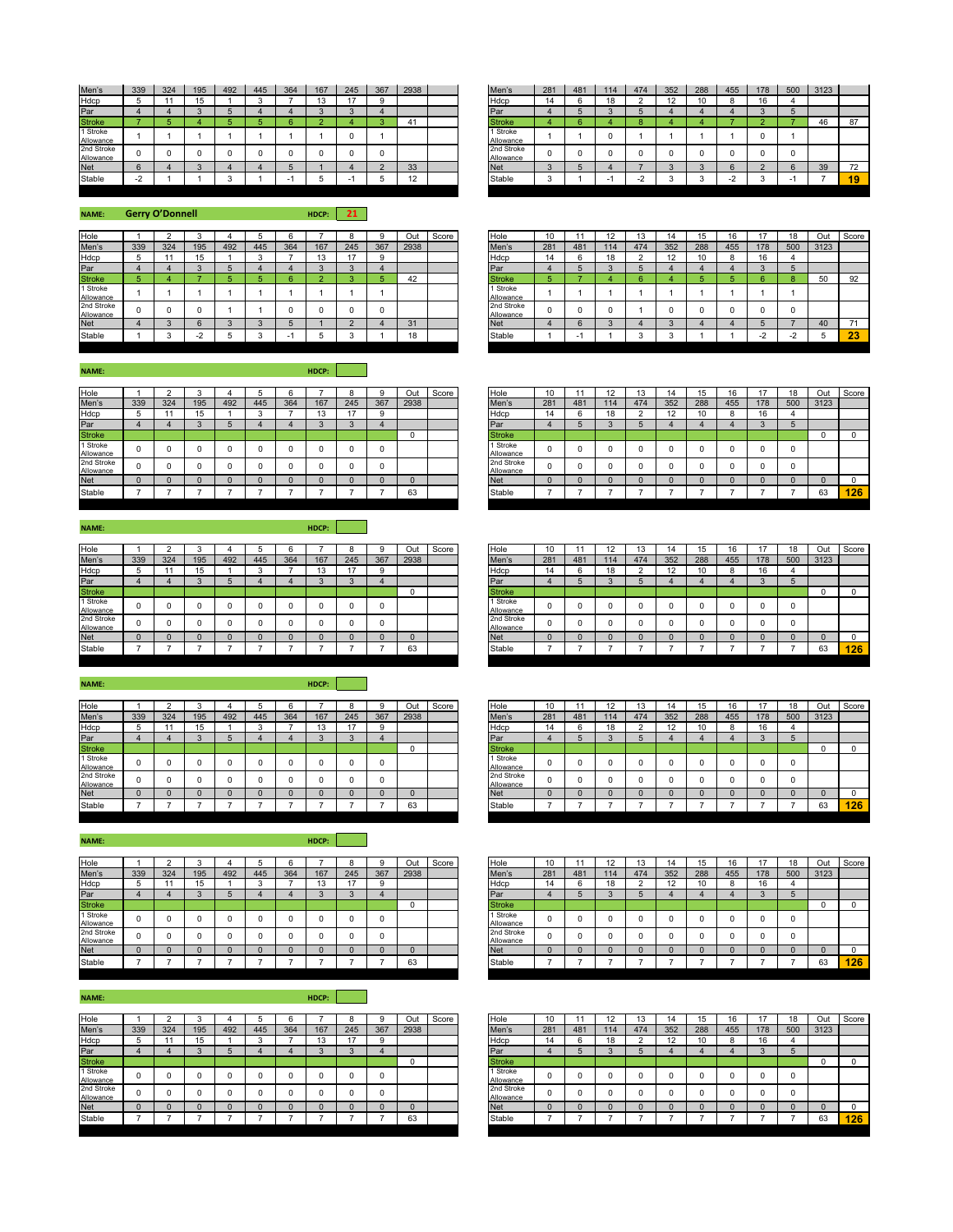| Men's                   | 339                                | 324 | 195 | 492 | 445 | 364 | 167 | 245 | 367 | 2938      | Men's                   | 281 | 481 | 114 | 474 | 352 | 288 | 455 | 178 | 500 | 3123 |    |
|-------------------------|------------------------------------|-----|-----|-----|-----|-----|-----|-----|-----|-----------|-------------------------|-----|-----|-----|-----|-----|-----|-----|-----|-----|------|----|
| Hdcp                    |                                    |     |     |     |     |     | ιJ  | 17  |     |           | Hdcp                    | 14  |     | 18  |     |     | 10  |     | 16  |     |      |    |
| Par                     |                                    |     |     |     |     |     |     |     |     |           | Par                     |     |     |     |     |     |     |     |     |     |      |    |
| <b>Stroke</b>           |                                    |     |     |     |     |     |     |     |     | 41        | <b>Stroke</b>           |     |     |     |     |     |     |     |     |     | 46   | 87 |
| 1 Stroke<br>Allowance   |                                    |     |     |     |     |     |     |     |     |           | 1 Stroke<br>Allowance   |     |     |     |     |     |     |     |     |     |      |    |
| 2nd Stroke<br>Allowance |                                    |     |     |     |     |     |     |     |     |           | 2nd Stroke<br>Allowance |     |     |     |     |     |     |     |     |     |      |    |
| <b>Net</b>              |                                    |     |     |     |     |     |     |     |     | 33        | <b>Net</b>              |     |     |     |     |     |     |     |     |     | 39   | 72 |
| Stable                  | $\sim$<br>$\overline{\phantom{0}}$ |     |     |     |     |     |     |     |     | 12<br>. . | Stable                  |     |     |     |     |     |     |     |     |     |      | 19 |

**NAME: HDCP: 21 Gerry O'Donnell**

| Hole                    |     |     |     |     |     |                          |     |     |     | Out  | Score | Hole                    | 10  |     |     | 13  | 14           |     | 16  |     |          | Out  | Sco |
|-------------------------|-----|-----|-----|-----|-----|--------------------------|-----|-----|-----|------|-------|-------------------------|-----|-----|-----|-----|--------------|-----|-----|-----|----------|------|-----|
| Men's                   | 339 | 324 | 195 | 492 | 445 | 364                      | 167 | 245 | 367 | 2938 |       | Men's                   | 281 | 481 | 114 | 474 | 352          | 288 | 455 | 178 | 500      | 3123 |     |
| Hdcp                    |     |     | 15  |     |     |                          |     | 47  |     |      |       | Hdcp                    | 14  |     |     |     | 12<br>$\sim$ |     |     | 16  |          |      |     |
| Par                     |     |     |     |     |     |                          |     |     |     |      |       | Par                     |     |     |     |     |              |     |     |     |          |      |     |
| <b>Stroke</b>           |     |     |     |     |     |                          |     |     |     | 42   |       | <b>Stroke</b>           |     |     |     |     |              |     |     |     | c        | 50   | 92  |
| 1 Stroke<br>Allowance   |     |     |     |     |     |                          |     |     |     |      |       | 1 Stroke<br>Allowance   |     |     |     |     |              |     |     |     |          |      |     |
| 2nd Stroke<br>Allowance | o   |     |     |     |     |                          |     |     |     |      |       | 2nd Stroke<br>Allowance |     |     |     |     |              |     |     |     | $\Omega$ |      |     |
| <b>Net</b>              |     |     |     |     |     |                          |     |     |     | 31   |       | <b>Net</b>              |     |     |     |     |              |     |     |     |          | 40   | 71  |
| Stable                  |     |     |     |     |     | $\overline{\phantom{0}}$ |     |     |     | 18   |       | Stable                  |     | -   |     |     |              |     |     |     |          |      | 23  |

Allowance | 1 | 1 | 0 | 1 | 1 | 1 | 1 | 0 | 1 Allowance <sup>0</sup> <sup>0</sup> <sup>0</sup> <sup>0</sup> <sup>0</sup> <sup>0</sup> <sup>0</sup> <sup>0</sup> <sup>0</sup>

| Hole                    |     |          |     |     |     |                          |               |     |     | Out  | Score | Hole                    | 10       |     | 12<br>- 14 | 13  | 14  | 15  |     |          | 18  | Out  | Score      |
|-------------------------|-----|----------|-----|-----|-----|--------------------------|---------------|-----|-----|------|-------|-------------------------|----------|-----|------------|-----|-----|-----|-----|----------|-----|------|------------|
| Men's                   | 339 | 324      | 195 | 492 | 445 | 364                      | 167           | 245 | 367 | 2938 |       | Men's                   | 281      | 481 | 114        | 474 | 352 | 288 | 455 | 178      | 500 | 3123 |            |
| Hdcp                    |     |          |     |     |     |                          | $\sim$<br>. . |     | a   |      |       | Hdcp                    | 14       |     | 18         |     | 12  |     |     | 16       |     |      |            |
| Par                     |     |          |     |     |     |                          |               |     |     |      |       | Par                     |          |     |            |     |     |     |     |          |     |      |            |
| <b>Stroke</b>           |     |          |     |     |     |                          |               |     |     | 42   |       | <b>Stroke</b>           |          |     |            |     |     |     |     |          |     | 50   | 92         |
| 1 Stroke<br>Allowance   |     |          |     |     |     |                          |               |     |     |      |       | 1 Stroke<br>Allowance   |          |     |            |     |     |     |     |          |     |      |            |
| 2nd Stroke<br>Allowance |     | $\Omega$ |     |     |     |                          |               |     | 0   |      |       | 2nd Stroke<br>Allowance | $\Omega$ |     |            |     |     |     |     | $\Omega$ |     |      |            |
| Net                     |     |          | 6   |     |     |                          |               |     |     | 31   |       | <b>Net</b>              |          |     |            |     |     |     |     |          |     | 40   |            |
| Stable                  |     | $\sim$   |     |     |     | $\overline{\phantom{0}}$ |               |     |     | 18   |       | Stable                  |          |     |            |     |     |     |     | ٠.       |     |      | -99<br>-40 |
|                         |     |          |     |     |     |                          |               |     |     |      |       |                         |          |     |            |     |     |     |     |          |     |      |            |

| Hole                    |          |     |     |     |     |     |     |     |     | Out  | Score | Hole                    | 10       |             | 12  | IJ  | 14  | 15  | 16       |     | 18  | Out  | Score |
|-------------------------|----------|-----|-----|-----|-----|-----|-----|-----|-----|------|-------|-------------------------|----------|-------------|-----|-----|-----|-----|----------|-----|-----|------|-------|
| Men's                   | 339      | 324 | 195 | 492 | 445 | 364 | 167 | 245 | 367 | 2938 |       | Men's                   | 281      | 481         | 114 | 474 | 352 | 288 | 455      | 178 | 500 | 3123 |       |
| Hdcp                    |          |     | 15  |     |     |     |     |     |     |      |       | Hdcp                    | 14       | $\sim$<br>n | 18  |     | 12  | 10  | $\Omega$ | 16  |     |      |       |
| Par                     |          |     |     |     |     |     |     |     |     |      |       | Par                     |          |             |     |     |     |     |          |     |     |      |       |
| <b>Stroke</b>           |          |     |     |     |     |     |     |     |     |      |       | <b>Stroke</b>           |          |             |     |     |     |     |          |     |     |      |       |
| 1 Stroke<br>Allowance   | $\Omega$ |     |     |     |     |     |     |     |     |      |       | 1 Stroke<br>Allowance   | $\Omega$ |             |     |     |     |     |          |     |     |      |       |
| 2nd Stroke<br>Allowance |          | 0   |     |     |     |     |     |     |     |      |       | 2nd Stroke<br>Allowance | $\Omega$ |             |     |     |     |     | O        |     |     |      |       |
| <b>Net</b>              |          |     |     |     |     |     |     |     |     |      |       | <b>Net</b>              |          |             |     |     |     |     |          |     |     |      |       |
| Stable                  |          |     |     |     |     |     |     |     |     | 63   |       | Stable                  |          |             |     |     |     |     |          |     |     | 63   | 126   |
|                         |          |     |     |     |     |     |     |     |     |      |       |                         |          |             |     |     |     |     |          |     |     |      |       |

| Hole                    |     |     |     |     |     |     |                   |     |     | Out  | Score | Hole                    | 10       |     | 12  | 13  | 14  | 15  | 16  |     | 18  | Out  | Score |
|-------------------------|-----|-----|-----|-----|-----|-----|-------------------|-----|-----|------|-------|-------------------------|----------|-----|-----|-----|-----|-----|-----|-----|-----|------|-------|
| Men's                   | 339 | 324 | 195 | 492 | 445 | 364 | 167               | 245 | 367 | 2938 |       | Men's                   | 281      | 481 | 114 | 474 | 352 | 288 | 455 | 178 | 500 | 3123 |       |
| Hdcp                    |     |     |     |     |     |     | $\sqrt{2}$<br>ט ו |     |     |      |       | Hdcp                    | 14       | h   | 18  |     | 12  | 10  |     |     |     |      |       |
| Par                     |     |     |     |     |     |     |                   |     |     |      |       | Par                     |          |     |     |     |     |     |     |     |     |      |       |
| <b>Stroke</b>           |     |     |     |     |     |     |                   |     |     | υ    |       | <b>Stroke</b>           |          |     |     |     |     |     |     |     |     | υ    |       |
| 1 Stroke<br>Allowance   |     |     |     |     |     |     |                   |     |     |      |       | 1 Stroke<br>Allowance   | $\Omega$ |     |     |     |     |     |     |     |     |      |       |
| 2nd Stroke<br>Allowance |     |     | O   |     |     |     |                   |     |     |      |       | 2nd Stroke<br>Allowance | $\Omega$ |     |     |     |     |     |     |     |     |      |       |
| <b>Net</b>              |     |     |     |     |     |     |                   |     |     |      |       | <b>Net</b>              | $\Omega$ |     |     |     |     |     |     |     |     |      |       |
| Stable                  |     |     |     |     |     |     |                   |     |     | 63   |       | Stable                  |          |     |     |     |     |     |     |     |     | 63   | 126   |
|                         |     |     |     |     |     |     |                   |     |     |      |       |                         |          |     |     |     |     |     |     |     |     |      |       |

| Hole                    |     |     |     |     |     |     |     |     | 9        | Out  | Score | Hole                    | 10  |     |     |     |     |     | 16  |          | 18  | Out  | Score |
|-------------------------|-----|-----|-----|-----|-----|-----|-----|-----|----------|------|-------|-------------------------|-----|-----|-----|-----|-----|-----|-----|----------|-----|------|-------|
| Men's                   | 339 | 324 | 195 | 492 | 445 | 364 | 167 | 245 | 367      | 2938 |       | Men's                   | 281 | 481 | 114 | 474 | 352 | 288 | 455 | 178      | 500 | 3123 |       |
| Hdcp                    |     |     |     |     |     |     |     |     | 9        |      |       | Hdcp                    | 14  |     | 18  |     | ı∠  |     |     | 16       |     |      |       |
| Par                     |     |     |     |     |     |     |     |     |          |      |       | Par                     |     |     |     |     |     |     |     |          |     |      |       |
| <b>Stroke</b>           |     |     |     |     |     |     |     |     |          |      |       | <b>Stroke</b>           |     |     |     |     |     |     |     |          |     |      |       |
| 1 Stroke<br>Allowance   |     |     |     |     |     |     |     |     | 0        |      |       | 1 Stroke<br>Allowance   | u   |     |     |     |     |     |     | $\Omega$ |     |      |       |
| 2nd Stroke<br>Allowance |     |     |     |     |     |     |     |     | $\Omega$ |      |       | 2nd Stroke<br>Allowance |     |     |     |     |     |     |     | $\Omega$ |     |      |       |
| Net                     |     |     |     |     |     |     |     |     | $\Omega$ |      |       | <b>Net</b>              |     |     |     |     |     |     |     |          |     |      |       |
| Stable                  |     |     |     |     |     |     |     |     |          | 63   |       | Stable                  |     |     |     |     |     |     |     |          |     | 63   | 126   |

| Hole                    |     |     |     |     |     |     |                 |     |     | Out  | Score | Hole                    | 10       |     | $\overline{A}$ | 13  | 14           | 15  | 16  |     | 18  | Out      | Score |
|-------------------------|-----|-----|-----|-----|-----|-----|-----------------|-----|-----|------|-------|-------------------------|----------|-----|----------------|-----|--------------|-----|-----|-----|-----|----------|-------|
| Men's                   | 339 | 324 | 195 | 492 | 445 | 364 | 167             | 245 | 367 | 2938 |       | Men's                   | 281      | 481 | 114            | 474 | 352          | 288 | 455 | 178 | 500 | 3123     |       |
| Hdcp                    |     |     |     |     |     |     | $\sqrt{2}$<br>. |     |     |      |       | Hdcp                    | 14       |     | 18             |     | 12<br>$\sim$ | 10  |     |     |     |          |       |
| Par                     |     |     |     |     |     |     |                 |     |     |      |       | Par                     |          |     |                |     |              |     |     |     |     |          |       |
| <b>Stroke</b>           |     |     |     |     |     |     |                 |     |     | u    |       | <b>Stroke</b>           |          |     |                |     |              |     |     |     |     | $\Omega$ |       |
| 1 Stroke<br>Allowance   | 0   |     |     |     |     |     |                 |     |     |      |       | 1 Stroke<br>Allowance   | $\Omega$ |     |                |     |              |     |     |     |     |          |       |
| 2nd Stroke<br>Allowance |     | u   | 0   |     |     |     |                 |     |     |      |       | 2nd Stroke<br>Allowance | 0        |     | 0              |     |              |     |     |     |     |          |       |
| Net                     |     |     |     |     |     |     |                 |     |     | u    |       | <b>Net</b>              | $\Omega$ |     |                |     |              |     |     |     |     | $\Omega$ |       |
| Stable                  |     |     |     |     |     |     |                 |     |     | 63   |       | Stable                  |          |     |                |     |              |     |     |     |     | 63       | 126   |
|                         |     |     |     |     |     |     |                 |     |     |      |       |                         |          |     |                |     |              |     |     |     |     |          |       |

| Hole                    |     |     |     |     |     |     |     |                | g        | Out  | Score | Hole                    | 10     |     | 12  |     |     |     | 16  | 47       | 18  | Out  | Score |
|-------------------------|-----|-----|-----|-----|-----|-----|-----|----------------|----------|------|-------|-------------------------|--------|-----|-----|-----|-----|-----|-----|----------|-----|------|-------|
| Men's                   | 339 | 324 | 195 | 492 | 445 | 364 | 167 | 245            | 367      | 2938 |       | Men's                   | 281    | 481 | 114 | 474 | 352 | 288 | 455 | 178      | 500 | 3123 |       |
| Hdcp                    |     |     |     |     |     |     |     | $\overline{ }$ | 9        |      |       | Hdcp                    | 14     |     | 18  |     | ı∠  | 10  |     | 16       |     |      |       |
| Par                     |     |     |     |     |     |     |     |                |          |      |       | Par                     |        |     |     |     |     |     |     |          |     |      |       |
| <b>Stroke</b>           |     |     |     |     |     |     |     |                |          |      |       | <b>Stroke</b>           |        |     |     |     |     |     |     |          |     |      |       |
| 1 Stroke<br>Allowance   |     |     |     |     |     |     |     |                | $\Omega$ |      |       | 1 Stroke<br>Allowance   | u      |     |     |     |     |     |     | $\Omega$ |     |      |       |
| 2nd Stroke<br>Allowance |     |     |     |     |     |     |     |                | $\Omega$ |      |       | 2nd Stroke<br>Allowance |        |     |     |     |     |     |     | $\Omega$ |     |      |       |
| Net                     |     |     |     |     |     |     |     |                | $\Omega$ |      |       | <b>Net</b>              | $\sim$ |     |     |     |     |     |     |          |     |      |       |
| Stable                  |     |     |     |     |     |     |     |                |          | 63   |       | Stable                  |        |     |     |     |     |     |     |          |     | 63   | 126   |
|                         |     |     |     |     |     |     |     |                |          |      |       |                         |        |     |     |     |     |     |     |          |     |      |       |

**NAME: HDCP:**

| Hole                    |     |     |     |     |     |     |     |     |     | Dul  | Score | Hole                    | 10  |     | ▵   | ں ו |                |     | 16  |     | 18  | Out  |
|-------------------------|-----|-----|-----|-----|-----|-----|-----|-----|-----|------|-------|-------------------------|-----|-----|-----|-----|----------------|-----|-----|-----|-----|------|
| Men's                   | 339 | 324 | 195 | 492 | 445 | 364 | 167 | 245 | 367 | 2938 |       | Men's                   | 281 | 481 | 114 | 474 | 352            | 288 | 455 | 178 | 500 | 3123 |
| Hdcp                    |     |     |     |     |     |     | 13  | . . | o   |      |       | Hdcp                    | 14  |     | 18  |     | $\cdot$<br>ı∠. | v   |     | 16  |     |      |
| Par                     |     |     |     |     |     |     |     |     |     |      |       | Par                     |     |     |     |     |                |     |     |     |     |      |
| <b>Stroke</b>           |     |     |     |     |     |     |     |     |     |      |       | <b>Stroke</b>           |     |     |     |     |                |     |     |     |     | 0    |
| 1 Stroke<br>Allowance   |     |     |     |     |     |     |     |     |     |      |       | 1 Stroke<br>Allowance   |     |     |     |     |                |     |     |     |     |      |
| 2nd Stroke<br>Allowance |     |     |     |     |     |     |     |     |     |      |       | 2nd Stroke<br>Allowance |     |     |     |     |                |     |     |     |     |      |
| <b>Net</b>              |     |     |     |     |     |     |     |     |     |      |       | <b>Net</b>              |     |     |     |     |                |     |     |     |     |      |
| Stable                  |     |     |     |     |     |     |     |     |     | 63   |       | Stable                  |     |     |     |     |                |     |     |     |     | 63   |

**NAME: HDCP:**

| Hole                    |     |          |     |     |     |     |                |      |     | Out  | Score | Hole                    | 10  |     | $\sim$ |     | 14      | 5   | 16  |             | 18  | Out  | Sco |
|-------------------------|-----|----------|-----|-----|-----|-----|----------------|------|-----|------|-------|-------------------------|-----|-----|--------|-----|---------|-----|-----|-------------|-----|------|-----|
| Men's                   | 339 | 324      | 195 | 492 | 445 | 364 | 167            | 245  | 367 | 2938 |       | Men's                   | 281 | 481 | 14     | 474 | 352     | 288 | 455 | 178         | 500 | 3123 |     |
| Hdcp                    |     |          | 15  |     |     |     | $\Delta$<br>10 | $-1$ |     |      |       | Hdcp                    | 14  | 6   | 18     |     | 12<br>▵ | . . |     | $\sim$<br>o |     |      |     |
| Par                     |     | z        |     |     |     |     |                |      |     |      |       | Par                     |     |     |        |     |         |     |     |             |     |      |     |
| <b>Stroke</b>           |     |          |     |     |     |     |                |      |     | u    |       | <b>Stroke</b>           |     |     |        |     |         |     |     |             |     |      |     |
| 1 Stroke<br>Allowance   |     | $\Omega$ |     |     |     | 0   |                |      |     |      |       | 1 Stroke<br>Allowance   |     |     |        |     |         |     |     |             |     |      |     |
| 2nd Stroke<br>Allowance |     | $\Omega$ |     |     |     | 0   |                | υ    |     |      |       | 2nd Stroke<br>Allowance |     | υ   |        |     |         |     |     |             |     |      |     |
| <b>Net</b>              |     | 0        |     |     |     |     |                |      |     |      |       | <b>Net</b>              |     |     |        |     |         |     |     |             |     |      |     |
| Stable                  |     |          |     |     |     |     |                |      |     | 63   |       | Stable                  |     |     |        |     |         |     |     |             |     | 63   | и   |
|                         |     |          |     |     |     |     |                |      |     |      |       |                         |     |     |        |     |         |     |     |             |     |      |     |

**NAME: HDCP:**

| Hole                    |     |     |     |     |     |     |        |                |     | Out  | Score | Hole                    | 10  |     |           | 13  | 14  | 15  | 16  | 47  | 18  | Out  | Sco |
|-------------------------|-----|-----|-----|-----|-----|-----|--------|----------------|-----|------|-------|-------------------------|-----|-----|-----------|-----|-----|-----|-----|-----|-----|------|-----|
| Men's                   | 339 | 324 | 195 | 492 | 445 | 364 | 167    | 245            | 367 | 2938 |       | Men's                   | 281 | 481 | 114       | 474 | 352 | 288 | 455 | 178 | 500 | 3123 |     |
| Hdcp                    | 61  |     | 15  |     | м   |     | . .    | $\overline{a}$ | 9   |      |       | Hdcp                    | 14  |     | ە •<br>18 |     | 12  | 10  |     | 16  |     |      |     |
| Par                     |     |     |     |     |     |     | $\sim$ |                |     |      |       | Par                     |     |     |           |     |     |     |     |     |     |      |     |
| <b>Stroke</b>           |     |     |     |     |     |     |        |                |     |      |       | <b>Stroke</b>           |     |     |           |     |     |     |     |     |     |      |     |
| 1 Stroke<br>Allowance   | 0   |     |     |     |     |     |        |                | 0   |      |       | 1 Stroke<br>Allowance   |     |     |           |     |     |     |     |     |     |      |     |
| 2nd Stroke<br>Allowance |     |     |     |     | 0   |     |        |                | 0   |      |       | 2nd Stroke<br>Allowance |     |     |           |     |     |     |     |     |     |      |     |
| <b>Net</b>              |     |     |     |     |     |     |        |                |     |      |       | <b>Net</b>              |     |     |           |     |     |     |     |     |     |      |     |
| Stable                  |     |     |     |     |     |     |        |                |     | 63   |       | Stable                  |     |     |           |     |     |     |     |     |     | 63   | и   |
|                         |     |     |     |     |     |     |        |                |     |      |       |                         |     |     |           |     |     |     |     |     |     |      |     |

**NAME: HDCP:**

| Hole                    |     |     |     |          |     |     |     |                |     | Out  | Score | Hole                    | יט  |     |     | $\overline{a}$<br>ιJ | 14  | 15  | 16  |     | 18  | Out  | Sco |
|-------------------------|-----|-----|-----|----------|-----|-----|-----|----------------|-----|------|-------|-------------------------|-----|-----|-----|----------------------|-----|-----|-----|-----|-----|------|-----|
| Men's                   | 339 | 324 | 195 | 492      | 445 | 364 | 167 | 245            | 367 | 2938 |       | Men's                   | 281 | 481 | 114 | 474                  | 352 | 288 | 455 | 178 | 500 | 3123 |     |
| Hdcp                    |     |     | .   |          |     |     | ιJ  | $\overline{A}$ |     |      |       | Hdcp                    |     |     |     |                      | 12  | 10  |     |     |     |      |     |
| Par                     |     |     |     |          |     |     |     | $\sim$         |     |      |       | Par                     |     |     |     |                      |     |     |     |     |     |      |     |
| <b>Stroke</b>           |     |     |     |          |     |     |     |                |     |      |       | <b>Stroke</b>           |     |     |     |                      |     |     |     |     |     |      |     |
| 1 Stroke<br>Allowance   |     |     |     |          |     |     |     |                |     |      |       | 1 Stroke<br>Allowance   |     |     |     |                      |     |     |     |     |     |      |     |
| 2nd Stroke<br>Allowance |     |     |     |          |     |     |     |                |     |      |       | 2nd Stroke<br>Allowance |     |     |     |                      |     |     |     |     |     |      |     |
| <b>Net</b>              |     |     |     | $\Omega$ |     |     |     |                |     |      |       | <b>Net</b>              |     |     |     | $\Omega$             |     |     |     |     |     |      |     |
| Stable                  |     |     |     |          |     |     |     |                |     | 63   |       | Stable                  |     |     |     |                      |     |     |     |     |     | 63   |     |

| <b>NAME:</b>            |     |     |          |     |        |     | HDCP:  |          |     |          |       |                         |     |          |     |          |     |     |     |     |     |      |     |
|-------------------------|-----|-----|----------|-----|--------|-----|--------|----------|-----|----------|-------|-------------------------|-----|----------|-----|----------|-----|-----|-----|-----|-----|------|-----|
|                         |     |     |          |     |        |     |        | я        |     | Out      | Score | Hole                    | 10  |          | 12  | 13       | 14  | 15  | 16  |     | 18  | Out  | Sco |
| Hole<br>Men's           | 339 | 324 | 195      | 492 | 445    | 364 | 167    | 245      | 367 | 2938     |       | Men's                   | 281 | 481      | 114 | 474      | 352 | 288 | 455 | 178 | 500 | 3123 |     |
|                         | ÷.  |     |          |     | $\sim$ |     | 13     | 17       | 9   |          |       | Hdcp                    | 14  | 6        | 18  | $\sim$   | 12  | 10  |     | 16  |     |      |     |
| Hdcp<br>Par             |     |     |          |     |        |     | $\sim$ |          |     |          |       | Par                     |     |          |     | 5        |     |     |     |     |     |      |     |
| <b>Stroke</b>           |     |     |          |     |        |     |        |          |     | $\Omega$ |       | <b>Stroke</b>           |     |          |     |          |     |     |     |     |     |      |     |
| 1 Stroke<br>Allowance   |     |     | $\Omega$ |     |        |     | 0      | $\Omega$ |     |          |       | 1 Stroke<br>Allowance   |     | $\Omega$ |     | $\Omega$ |     |     |     |     |     |      |     |
| 2nd Stroke<br>Allowance |     |     | 0        |     |        |     | 0      | $\Omega$ |     |          |       | 2nd Stroke<br>Allowance |     | 0        |     | $\Omega$ |     |     |     |     |     |      |     |
| <b>Net</b>              |     |     |          |     |        |     |        |          |     | $\Omega$ |       | <b>Net</b>              |     |          |     |          |     |     |     |     |     |      |     |
| Stable                  |     |     |          |     |        |     |        |          |     | 63       |       | Stable                  |     |          |     |          |     |     |     |     |     | 63   | -12 |